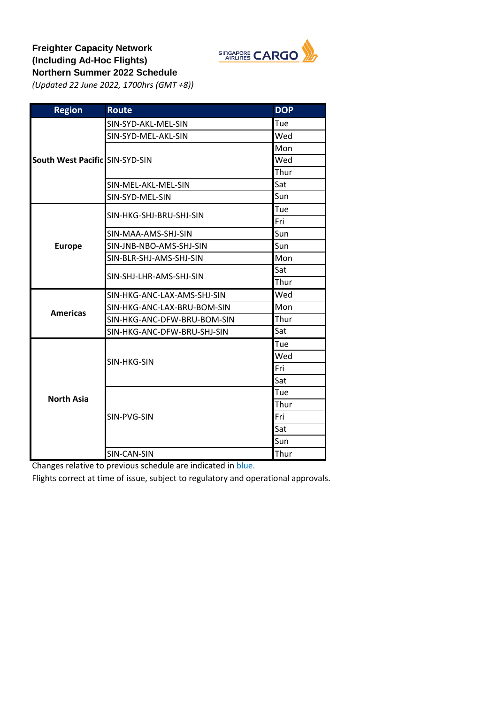

## **Freighter Capacity Network (Including Ad-Hoc Flights) Northern Summer 2022 Schedule**

*(Updated 22 June 2022, 1700hrs (GMT +8))*

| <b>Region</b>                  | <b>Route</b>                | <b>DOP</b> |
|--------------------------------|-----------------------------|------------|
|                                | SIN-SYD-AKL-MEL-SIN         | Tue        |
|                                | SIN-SYD-MEL-AKL-SIN         | Wed        |
|                                |                             | Mon        |
| South West Pacific SIN-SYD-SIN |                             | Wed        |
|                                |                             | Thur       |
|                                | SIN-MEL-AKL-MEL-SIN         | Sat        |
|                                | SIN-SYD-MEL-SIN             | Sun        |
|                                | SIN-HKG-SHJ-BRU-SHJ-SIN     | Tue        |
|                                |                             | Fri        |
|                                | SIN-MAA-AMS-SHJ-SIN         | Sun        |
| <b>Europe</b>                  | SIN-JNB-NBO-AMS-SHJ-SIN     | Sun        |
|                                | SIN-BLR-SHJ-AMS-SHJ-SIN     | Mon        |
|                                | SIN-SHJ-LHR-AMS-SHJ-SIN     | Sat        |
|                                |                             | Thur       |
|                                | SIN-HKG-ANC-LAX-AMS-SHJ-SIN | Wed        |
| <b>Americas</b>                | SIN-HKG-ANC-LAX-BRU-BOM-SIN | Mon        |
|                                | SIN-HKG-ANC-DFW-BRU-BOM-SIN | Thur       |
|                                | SIN-HKG-ANC-DFW-BRU-SHJ-SIN | Sat        |
|                                |                             | Tue        |
|                                | SIN-HKG-SIN                 | Wed        |
|                                |                             | Fri        |
|                                |                             | Sat        |
| <b>North Asia</b>              |                             | Tue        |
|                                |                             | Thur       |
|                                | SIN-PVG-SIN                 | Fri        |
|                                |                             | Sat        |
|                                |                             | Sun        |
|                                | SIN-CAN-SIN                 | Thur       |

Changes relative to previous schedule are indicated in blue.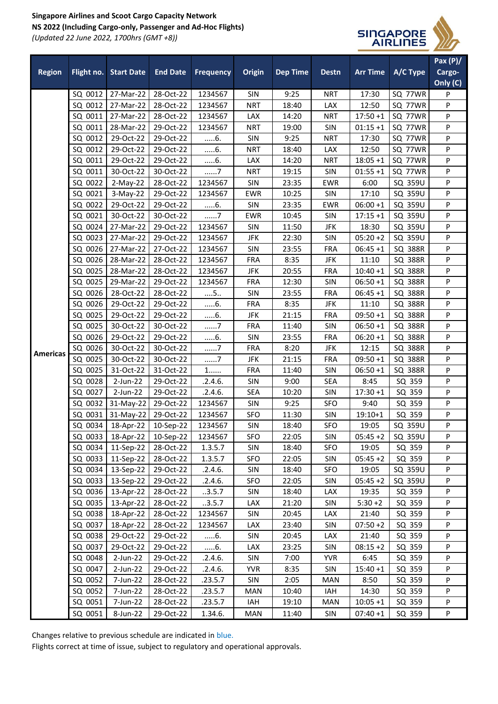## **Singapore Airlines and Scoot Cargo Capacity Network NS 2022 (Including Cargo-only, Passenger and Ad-Hoc Flights)** *(Updated 22 June 2022, 1700hrs (GMT +8))*



|                 |         |                       |                       |                  |            |                 |              |                 |                | Pax $(P)$ |
|-----------------|---------|-----------------------|-----------------------|------------------|------------|-----------------|--------------|-----------------|----------------|-----------|
| <b>Region</b>   |         | Flight no. Start Date | <b>End Date</b>       | <b>Frequency</b> | Origin     | <b>Dep Time</b> | <b>Destn</b> | <b>Arr Time</b> | A/C Type       | Cargo-    |
|                 |         |                       |                       |                  |            |                 |              |                 |                | Only (C)  |
|                 | SQ 0012 | 27-Mar-22             | 28-Oct-22             | 1234567          | SIN        | 9:25            | <b>NRT</b>   | 17:30           | SQ 77WR        | P         |
|                 | SQ 0012 | 27-Mar-22             | 28-Oct-22             | 1234567          | <b>NRT</b> | 18:40           | LAX          | 12:50           | SQ 77WR        | P         |
|                 | SQ 0011 | 27-Mar-22             | 28-Oct-22             | 1234567          | LAX        | 14:20           | <b>NRT</b>   | $17:50+1$       | SQ 77WR        | ${\sf P}$ |
|                 | SQ 0011 | 28-Mar-22             | 29-Oct-22             | 1234567          | <b>NRT</b> | 19:00           | SIN          | $01:15 + 1$     | SQ 77WR        | ${\sf P}$ |
|                 | SQ 0012 | 29-Oct-22             | 29-Oct-22             | 6.               | SIN        | 9:25            | <b>NRT</b>   | 17:30           | SQ 77WR        | P         |
|                 | SQ 0012 | 29-Oct-22             | 29-Oct-22             | $6$ .            | <b>NRT</b> | 18:40           | LAX          | 12:50           | SQ 77WR        | P         |
|                 | SQ 0011 | 29-Oct-22             | 29-Oct-22             | 6.               | LAX        | 14:20           | <b>NRT</b>   | $18:05 + 1$     | SQ 77WR        | P         |
|                 | SQ 0011 | 30-Oct-22             | 30-Oct-22             | 7                | <b>NRT</b> | 19:15           | SIN          | $01:55 + 1$     | SQ 77WR        | $\sf P$   |
|                 | SQ 0022 | 2-May-22              | 28-Oct-22             | 1234567          | <b>SIN</b> | 23:35           | <b>EWR</b>   | 6:00            | SQ 359U        | P         |
|                 | SQ 0021 | 3-May-22              | 29-Oct-22             | 1234567          | EWR        | 10:25           | SIN          | 17:10           | SQ 359U        | ${\sf P}$ |
|                 | SQ 0022 | 29-Oct-22             | 29-Oct-22             | 6.               | SIN        | 23:35           | <b>EWR</b>   | $06:00 + 1$     | SQ 359U        | P         |
|                 | SQ 0021 | 30-Oct-22             | 30-Oct-22             | 7                | <b>EWR</b> | 10:45           | <b>SIN</b>   | $17:15 + 1$     | SQ 359U        | P         |
|                 | SQ 0024 | 27-Mar-22             | 29-Oct-22             | 1234567          | SIN        | 11:50           | <b>JFK</b>   | 18:30           | SQ 359U        | P         |
|                 | SQ 0023 | 27-Mar-22             | 29-Oct-22             | 1234567          | JFK        | 22:30           | SIN          | $05:20+2$       | SQ 359U        | P         |
|                 | SQ 0026 | 27-Mar-22             | 27-Oct-22             | 1234567          | SIN        | 23:55           | <b>FRA</b>   | $06:45+1$       | SQ 388R        | ${\sf P}$ |
|                 | SQ 0026 | 28-Mar-22             | 28-Oct-22             | 1234567          | <b>FRA</b> | 8:35            | JFK          | 11:10           | <b>SQ 388R</b> | P         |
|                 | SQ 0025 | 28-Mar-22             | 28-Oct-22             | 1234567          | <b>JFK</b> | 20:55           | <b>FRA</b>   | $10:40 + 1$     | SQ 388R        | P         |
|                 | SQ 0025 | 29-Mar-22             | 29-Oct-22             | 1234567          | <b>FRA</b> | 12:30           | SIN          | $06:50+1$       | SQ 388R        | P         |
|                 | SQ 0026 | 28-Oct-22             | 28-Oct-22             | $\dots$ 5        | <b>SIN</b> | 23:55           | <b>FRA</b>   | $06:45+1$       | SQ 388R        | P         |
|                 | SQ 0026 | 29-Oct-22             | 29-Oct-22             | $6$ .            | <b>FRA</b> | 8:35            | <b>JFK</b>   | 11:10           | <b>SQ 388R</b> | ${\sf P}$ |
|                 | SQ 0025 | 29-Oct-22             | 29-Oct-22             | 6.               | JFK        | 21:15           | <b>FRA</b>   | $09:50+1$       | SQ 388R        | P         |
|                 | SQ 0025 | 30-Oct-22             | 30-Oct-22             | 7                | <b>FRA</b> | 11:40           | <b>SIN</b>   | $06:50 + 1$     | SQ 388R        | P         |
|                 | SQ 0026 | 29-Oct-22             | 29-Oct-22             | $6$ .            | SIN        | 23:55           | <b>FRA</b>   | $06:20 + 1$     | SQ 388R        | P         |
|                 | SQ 0026 | 30-Oct-22             | 30-Oct-22             | 7                | <b>FRA</b> | 8:20            | JFK          | 12:15           | SQ 388R        | P         |
| <b>Americas</b> | SQ 0025 | 30-Oct-22             | 30-Oct-22             | 7                | <b>JFK</b> | 21:15           | <b>FRA</b>   | $09:50 + 1$     | SQ 388R        | ${\sf P}$ |
|                 | SQ 0025 | 31-Oct-22             | 31-Oct-22             | $1$              | <b>FRA</b> | 11:40           | SIN          | $06:50+1$       | <b>SQ 388R</b> | P         |
|                 | SQ 0028 | 2-Jun-22              | 29-Oct-22             | .2.4.6.          | SIN        | 9:00            | <b>SEA</b>   | 8:45            | SQ 359         | P         |
|                 | SQ 0027 | 2-Jun-22              | 29-Oct-22             | .2.4.6.          | SEA        | 10:20           | <b>SIN</b>   | $17:30 + 1$     | SQ 359         | P         |
|                 | SQ 0032 | 31-May-22             | 29-Oct-22             | 1234567          | <b>SIN</b> | 9:25            | <b>SFO</b>   | 9:40            | SQ 359         | P         |
|                 | SQ 0031 | 31-May-22             | 29-Oct-22             | 1234567          | SFO        | 11:30           | SIN          | $19:10+1$       | SQ 359         | $\sf P$   |
|                 | SQ 0034 | 18-Apr-22             | 10-Sep-22             | 1234567          | SIN        | 18:40           | <b>SFO</b>   | 19:05           | SQ 359U        | P         |
|                 | SQ 0033 | 18-Apr-22             | 10-Sep-22             | 1234567          | SFO        | 22:05           | <b>SIN</b>   | $05:45+2$       | SQ 359U        | P         |
|                 | SQ 0034 | 11-Sep-22 28-Oct-22   |                       | 1.3.5.7          | SIN        | 18:40           | SFO          | 19:05           | SQ 359         | P         |
|                 | SQ 0033 |                       | 11-Sep-22   28-Oct-22 | 1.3.5.7          | SFO        | 22:05           | <b>SIN</b>   | $05:45+2$       | SQ 359         | P         |
|                 | SQ 0034 | 13-Sep-22             | 29-Oct-22             | .2.4.6.          | SIN        | 18:40           | SFO          | 19:05           | SQ 359U        | P         |
|                 | SQ 0033 | 13-Sep-22             | 29-Oct-22             | .2.4.6.          | SFO        | 22:05           | <b>SIN</b>   | $05:45+2$       | SQ 359U        | P         |
|                 | SQ 0036 | 13-Apr-22             | 28-Oct-22             | .3.5.7           | SIN        | 18:40           | LAX          | 19:35           | SQ 359         | P         |
|                 | SQ 0035 | 13-Apr-22             | 28-Oct-22             | .3.5.7           | LAX        | 21:20           | SIN          | $5:30+2$        | SQ 359         | P         |
|                 | SQ 0038 | 18-Apr-22             | 28-Oct-22             | 1234567          | SIN        | 20:45           | LAX          | 21:40           | SQ 359         | P         |
|                 | SQ 0037 | 18-Apr-22             | 28-Oct-22             | 1234567          | LAX        | 23:40           | SIN          | $07:50+2$       | SQ 359         | P         |
|                 | SQ 0038 | 29-Oct-22             | 29-Oct-22             | 6.               | <b>SIN</b> | 20:45           | LAX          | 21:40           | SQ 359         | P         |
|                 | SQ 0037 | 29-Oct-22             | 29-Oct-22             | 6.               | LAX        | 23:25           | SIN          | $08:15+2$       | SQ 359         | P         |
|                 | SQ 0048 | $2$ -Jun-22           | 29-Oct-22             | .2.4.6.          | SIN        | 7:00            | <b>YVR</b>   | 6:45            | SQ 359         | P         |
|                 | SQ 0047 | 2-Jun-22              | 29-Oct-22             | .2.4.6.          | <b>YVR</b> | 8:35            | SIN          | $15:40+1$       | SQ 359         | P         |
|                 | SQ 0052 | 7-Jun-22              | 28-Oct-22             | .23.5.7          | SIN        | 2:05            | MAN          | 8:50            | SQ 359         | P         |
|                 | SQ 0052 | 7-Jun-22              | 28-Oct-22             | .23.5.7          | MAN        | 10:40           | IAH          | 14:30           | SQ 359         | P         |
|                 | SQ 0051 | 7-Jun-22              | 28-Oct-22             | .23.5.7          | IAH        | 19:10           | MAN          | $10:05 + 1$     | SQ 359         | P         |
|                 | SQ 0051 | 8-Jun-22              | 29-Oct-22             | 1.34.6.          | MAN        | 11:40           | <b>SIN</b>   | $07:40+1$       | SQ 359         | P         |

Changes relative to previous schedule are indicated in blue.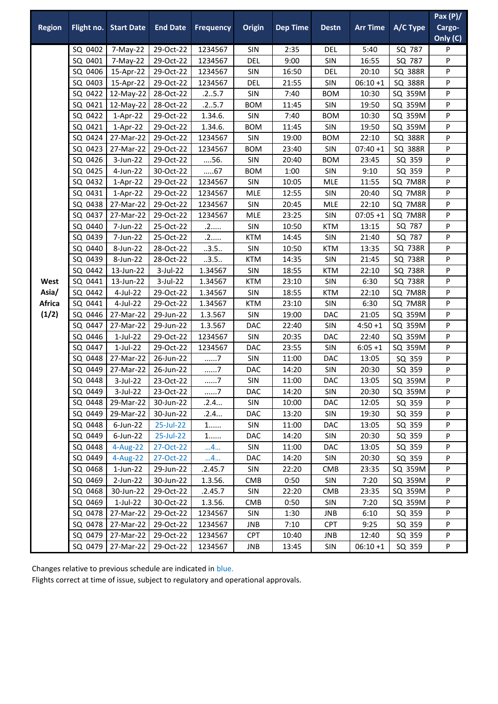|                                         |                    |                            |                        |                    |            |                 |                   |                 |                  | Pax $(P)/$ |
|-----------------------------------------|--------------------|----------------------------|------------------------|--------------------|------------|-----------------|-------------------|-----------------|------------------|------------|
| <b>Region</b>                           | Flight no.         | <b>Start Date</b>          | <b>End Date</b>        | <b>Frequency</b>   | Origin     | <b>Dep Time</b> | <b>Destn</b>      | <b>Arr Time</b> | A/C Type         | Cargo-     |
|                                         |                    |                            |                        |                    |            |                 |                   |                 |                  | Only (C)   |
|                                         | SQ 0402            | 7-May-22                   | 29-Oct-22              | 1234567            | SIN        | 2:35            | <b>DEL</b>        | 5:40            | SQ 787           | P          |
|                                         | SQ 0401            | 7-May-22                   | 29-Oct-22              | 1234567            | <b>DEL</b> | 9:00            | SIN               | 16:55           | SQ 787           | P          |
|                                         | SQ 0406            | 15-Apr-22                  | 29-Oct-22              | 1234567            | SIN        | 16:50           | <b>DEL</b>        | 20:10           | <b>SQ 388R</b>   | P          |
| West<br>Asia/<br><b>Africa</b><br>(1/2) | SQ 0403            | 15-Apr-22                  | 29-Oct-22              | 1234567            | <b>DEL</b> | 21:55           | SIN               | $06:10+1$       | SQ 388R          | P          |
|                                         | SQ 0422            | 12-May-22                  | 28-Oct-22              | .25.7              | SIN        | 7:40            | <b>BOM</b>        | 10:30           | SQ 359M          | P          |
|                                         | SQ 0421            | 12-May-22                  | 28-Oct-22              | .25.7              | <b>BOM</b> | 11:45           | SIN               | 19:50           | SQ 359M          | P          |
|                                         | SQ 0422            | 1-Apr-22                   | 29-Oct-22              | 1.34.6.            | SIN        | 7:40            | <b>BOM</b>        | 10:30           | SQ 359M          | P          |
|                                         | SQ 0421            | $1-Apr-22$                 | 29-Oct-22              | 1.34.6.            | <b>BOM</b> | 11:45           | SIN               | 19:50           | SQ 359M          | P          |
|                                         | SQ 0424            | 27-Mar-22                  | 29-Oct-22              | 1234567            | <b>SIN</b> | 19:00           | <b>BOM</b>        | 22:10           | <b>SQ 388R</b>   | P          |
|                                         | SQ 0423            | 27-Mar-22                  | 29-Oct-22              | 1234567            | <b>BOM</b> | 23:40           | SIN               | $07:40+1$       | SQ 388R          | P          |
|                                         | SQ 0426            | 3-Jun-22                   | 29-Oct-22              | 56.                | SIN        | 20:40           | <b>BOM</b>        | 23:45           | SQ 359           | P          |
|                                         | SQ 0425            | 4-Jun-22                   | 30-Oct-22              | 67                 | <b>BOM</b> | 1:00            | SIN               | 9:10            | SQ 359           | P          |
|                                         | SQ 0432            | $1-Apr-22$                 | 29-Oct-22              | 1234567            | SIN        | 10:05           | <b>MLE</b>        | 11:55           | SQ 7M8R          | P          |
|                                         | SQ 0431            | $1-Apr-22$                 | 29-Oct-22              | 1234567            | <b>MLE</b> | 12:55           | SIN               | 20:40           | SQ 7M8R          | P          |
|                                         | SQ 0438            | 27-Mar-22                  | 29-Oct-22              | 1234567            | SIN        | 20:45           | <b>MLE</b>        | 22:10           | SQ 7M8R          | P          |
|                                         | SQ 0437            | 27-Mar-22                  | 29-Oct-22              | 1234567            | <b>MLE</b> | 23:25           | SIN               | $07:05 + 1$     | SQ 7M8R          | P          |
|                                         | SQ 0440            | 7-Jun-22                   | 25-Oct-22              | .2                 | SIN        | 10:50           | <b>KTM</b>        | 13:15           | SQ 787           | P          |
|                                         | SQ 0439            | 7-Jun-22                   | 25-Oct-22              | .2                 | <b>KTM</b> | 14:45           | SIN               | 21:40           | SQ 787           | P          |
|                                         | SQ 0440            | 8-Jun-22                   | 28-Oct-22              | 3.5                | <b>SIN</b> | 10:50           | <b>KTM</b>        | 13:35           | SQ 738R          | P          |
|                                         | SQ 0439            | 8-Jun-22                   | 28-Oct-22              | .3.5.              | <b>KTM</b> | 14:35           | SIN               | 21:45           | SQ 738R          | P          |
|                                         | SQ 0442            | 13-Jun-22                  | $3$ -Jul-22            | 1.34567            | <b>SIN</b> | 18:55           | <b>KTM</b>        | 22:10           | SQ 738R          | P          |
|                                         | SQ 0441            | 13-Jun-22                  | 3-Jul-22               | 1.34567            | <b>KTM</b> | 23:10           | SIN               | 6:30            | SQ 738R          | P          |
|                                         | SQ 0442            | 4-Jul-22                   | 29-Oct-22              | 1.34567            | SIN        | 18:55           | <b>KTM</b>        | 22:10           | SQ 7M8R          | P          |
|                                         | SQ 0441            | 4-Jul-22                   | 29-Oct-22              | 1.34567            | <b>KTM</b> | 23:10           | SIN               | 6:30            | SQ 7M8R          | P          |
|                                         | SQ 0446            | 27-Mar-22                  | 29-Jun-22              | 1.3.567            | SIN        | 19:00           | DAC               | 21:05           | SQ 359M          | P          |
|                                         | SQ 0447            | 27-Mar-22                  | 29-Jun-22              | 1.3.567            | DAC        | 22:40           | SIN               | $4:50 + 1$      | SQ 359M          | P          |
|                                         | SQ 0446            | $1$ -Jul-22                | 29-Oct-22              | 1234567            | SIN        | 20:35           | DAC               | 22:40           | SQ 359M          | P          |
|                                         | SQ 0447            | $1$ -Jul-22                | 29-Oct-22              | 1234567            | DAC        | 23:55           | SIN               | $6:05 + 1$      | SQ 359M          | P          |
|                                         | SQ 0448            | 27-Mar-22                  | 26-Jun-22              | 7                  | <b>SIN</b> | 11:00           | DAC               | 13:05           | SQ 359           | P          |
|                                         | SQ 0449            | 27-Mar-22                  | 26-Jun-22              | 7                  | DAC        | 14:20           | SIN               | 20:30           | SQ 359           | P          |
|                                         | SQ 0448            | 3-Jul-22                   | 23-Oct-22              | 7                  | SIN        | 11:00           | DAC               | 13:05           | SQ 359M          | P          |
|                                         | SQ 0449            | 3-Jul-22                   | 23-Oct-22              | . 7                | DAC        | 14:20           | <b>SIN</b>        | 20:30           | SQ 359M          | P          |
|                                         | SQ 0448<br>SQ 0449 | 29-Mar-22                  | 30-Jun-22              | .2.4               | SIN        | 10:00           | DAC               | 12:05           | SQ 359           | P          |
|                                         |                    | 29-Mar-22                  | 30-Jun-22              | .2.4               | DAC        | 13:20           | <b>SIN</b>        | 19:30           | SQ 359           | P          |
|                                         | SQ 0448<br>SQ 0449 | $6$ -Jun-22                | 25-Jul-22              | $1$                | SIN        | 11:00           | <b>DAC</b>        | 13:05           | SQ 359           | P          |
|                                         | SQ 0448            | $6$ -Jun-22<br>$4$ -Aug-22 | 25-Jul-22              | $1$                | <b>DAC</b> | 14:20           | <b>SIN</b><br>DAC | 20:30<br>13:05  | SQ 359           | P          |
|                                         | SQ 0449            | $4$ -Aug-22                | 27-Oct-22<br>27-Oct-22 | 4                  | SIN<br>DAC | 11:00<br>14:20  | SIN               | 20:30           | SQ 359<br>SQ 359 | P<br>P     |
|                                         | SQ 0468            | $1$ -Jun-22                | 29-Jun-22              | 4<br>.2.45.7       |            | 22:20           |                   | 23:35           | SQ 359M          | P          |
|                                         | SQ 0469            | $2$ -Jun-22                | 30-Jun-22              | 1.3.56.            | SIN<br>CMB | 0:50            | <b>CMB</b><br>SIN | 7:20            | SQ 359M          | P          |
|                                         | SQ 0468            | 30-Jun-22                  | 29-Oct-22              |                    |            | 22:20           |                   | 23:35           | SQ 359M          |            |
|                                         | SQ 0469            | $1$ -Jul-22                | 30-Oct-22              | .2.45.7<br>1.3.56. | SIN<br>CMB |                 | <b>CMB</b><br>SIN | 7:20            | SQ 359M          | P<br>P     |
|                                         | SQ 0478            | 27-Mar-22                  | 29-Oct-22              | 1234567            | <b>SIN</b> | 0:50<br>1:30    | JNB               | 6:10            | SQ 359           | P          |
|                                         | SQ 0478            | 27-Mar-22                  | 29-Oct-22              | 1234567            | JNB        | 7:10            | <b>CPT</b>        | 9:25            | SQ 359           | P          |
|                                         | SQ 0479            | 27-Mar-22                  | 29-Oct-22              | 1234567            | <b>CPT</b> |                 |                   |                 |                  |            |
|                                         |                    |                            |                        |                    |            | 10:40           | JNB               | 12:40           | SQ 359           | P          |
|                                         |                    | SQ 0479 27-Mar-22          | 29-Oct-22              | 1234567            | JNB        | 13:45           | <b>SIN</b>        | $06:10+1$       | SQ 359           | P          |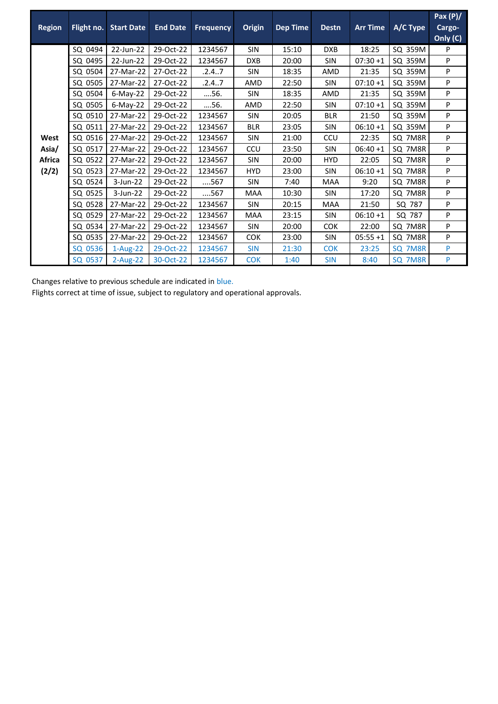| <b>Region</b> | Flight no. | <b>Start Date</b> | <b>End Date</b> | <b>Frequency</b> | <b>Origin</b> | <b>Dep Time</b> | <b>Destn</b> | <b>Arr Time</b> | A/C Type | Pax $(P)/$<br>Cargo-<br>Only (C) |
|---------------|------------|-------------------|-----------------|------------------|---------------|-----------------|--------------|-----------------|----------|----------------------------------|
|               | SQ 0494    | 22-Jun-22         | 29-Oct-22       | 1234567          | SIN           | 15:10           | <b>DXB</b>   | 18:25           | SQ 359M  | P                                |
|               | SQ 0495    | 22-Jun-22         | 29-Oct-22       | 1234567          | <b>DXB</b>    | 20:00           | <b>SIN</b>   | $07:30+1$       | SQ 359M  | P                                |
|               | SQ 0504    | 27-Mar-22         | 27-Oct-22       | .2.4.7           | <b>SIN</b>    | 18:35           | AMD          | 21:35           | SQ 359M  | P                                |
|               | SQ 0505    | 27-Mar-22         | 27-Oct-22       | .2.4.7           | AMD           | 22:50           | <b>SIN</b>   | $07:10+1$       | SQ 359M  | P                                |
|               | SQ 0504    | $6$ -May-22       | 29-Oct-22       | 56.              | <b>SIN</b>    | 18:35           | AMD          | 21:35           | SQ 359M  | P                                |
|               | SQ 0505    | $6$ -May-22       | 29-Oct-22       | 56.              | AMD           | 22:50           | <b>SIN</b>   | $07:10+1$       | SQ 359M  | P                                |
|               | SQ 0510    | 27-Mar-22         | 29-Oct-22       | 1234567          | <b>SIN</b>    | 20:05           | <b>BLR</b>   | 21:50           | SQ 359M  | P                                |
|               | SQ 0511    | 27-Mar-22         | 29-Oct-22       | 1234567          | <b>BLR</b>    | 23:05           | <b>SIN</b>   | $06:10+1$       | SQ 359M  | P                                |
| West          | SQ 0516    | 27-Mar-22         | 29-Oct-22       | 1234567          | <b>SIN</b>    | 21:00           | CCU          | 22:35           | SQ 7M8R  | P                                |
| Asia/         | SQ 0517    | 27-Mar-22         | 29-Oct-22       | 1234567          | CCU           | 23:50           | <b>SIN</b>   | $06:40+1$       | SQ 7M8R  | P                                |
| <b>Africa</b> | SQ 0522    | 27-Mar-22         | 29-Oct-22       | 1234567          | <b>SIN</b>    | 20:00           | <b>HYD</b>   | 22:05           | SQ 7M8R  | P                                |
| (2/2)         | SQ 0523    | 27-Mar-22         | 29-Oct-22       | 1234567          | <b>HYD</b>    | 23:00           | <b>SIN</b>   | $06:10+1$       | SQ 7M8R  | P                                |
|               | SQ 0524    | $3$ -Jun-22       | 29-Oct-22       | 567              | <b>SIN</b>    | 7:40            | <b>MAA</b>   | 9:20            | SQ 7M8R  | P                                |
|               | SQ 0525    | 3-Jun-22          | 29-Oct-22       | 567              | <b>MAA</b>    | 10:30           | <b>SIN</b>   | 17:20           | SQ 7M8R  | P                                |
|               | SQ 0528    | 27-Mar-22         | 29-Oct-22       | 1234567          | <b>SIN</b>    | 20:15           | <b>MAA</b>   | 21:50           | SQ 787   | P                                |
|               | SQ 0529    | 27-Mar-22         | 29-Oct-22       | 1234567          | <b>MAA</b>    | 23:15           | <b>SIN</b>   | $06:10+1$       | SQ 787   | P                                |
|               | SQ 0534    | 27-Mar-22         | 29-Oct-22       | 1234567          | <b>SIN</b>    | 20:00           | <b>COK</b>   | 22:00           | SQ 7M8R  | P                                |
|               | SQ 0535    | 27-Mar-22         | 29-Oct-22       | 1234567          | <b>COK</b>    | 23:00           | SIN          | $05:55+1$       | SQ 7M8R  | P                                |
|               | SQ 0536    | $1-Aug-22$        | 29-Oct-22       | 1234567          | <b>SIN</b>    | 21:30           | <b>COK</b>   | 23:25           | SQ 7M8R  | P                                |
|               | SQ 0537    | $2$ -Aug-22       | 30-Oct-22       | 1234567          | <b>COK</b>    | 1:40            | <b>SIN</b>   | 8:40            | SQ 7M8R  | P                                |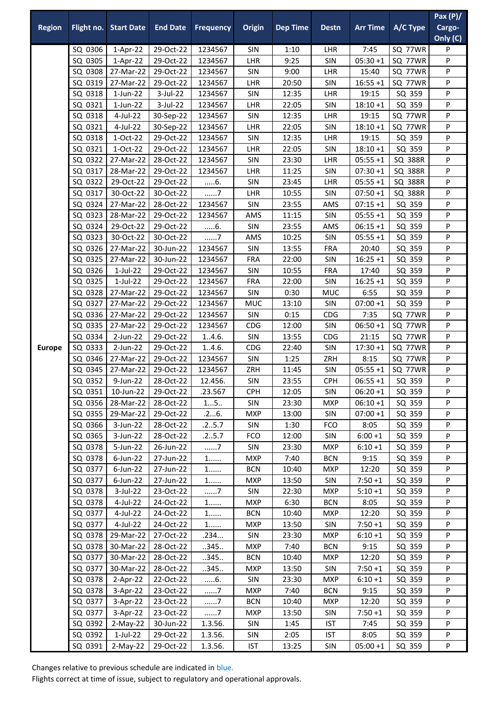| <b>Region</b> | Flight no.         | <b>Start Date</b>        | <b>End Date</b>        | <b>Frequency</b>   | Origin            | <b>Dep Time</b> | <b>Destn</b>      | <b>Arr Time</b>      | A/C Type         | Pax $(P)/$<br>Cargo-<br>Only (C) |
|---------------|--------------------|--------------------------|------------------------|--------------------|-------------------|-----------------|-------------------|----------------------|------------------|----------------------------------|
|               | SQ 0306            | 1-Apr-22                 | 29-Oct-22              | 1234567            | SIN               | 1:10            | LHR               | 7:45                 | SQ 77WR          | P                                |
|               | SQ 0305            | $1-Apr-22$               | 29-Oct-22              | 1234567            | LHR               | 9:25            | SIN               | $05:30+1$            | SQ 77WR          | P                                |
|               | SQ 0308            | 27-Mar-22                | 29-Oct-22              | 1234567            | SIN               | 9:00            | LHR               | 15:40                | SQ 77WR          | P                                |
|               | SQ 0319            | 27-Mar-22                | 29-Oct-22              | 1234567            | LHR               | 20:50           | SIN               | $16:55 + 1$          | SQ 77WR          | P                                |
|               | SQ 0318            | $1$ -Jun-22              | 3-Jul-22               | 1234567            | SIN               | 12:35           | LHR               | 19:15                | SQ 359           | P                                |
|               | SQ 0321            | $1$ -Jun-22              | 3-Jul-22               | 1234567            | LHR               | 22:05           | SIN               | $18:10 + 1$          | SQ 359           | P                                |
|               | SQ 0318            | 4-Jul-22                 | 30-Sep-22              | 1234567            | <b>SIN</b>        | 12:35           | LHR               | 19:15                | SQ 77WR          | P                                |
|               | SQ 0321            | 4-Jul-22                 | 30-Sep-22              | 1234567            | LHR               | 22:05           | SIN               | $18:10 + 1$          | SQ 77WR          | P                                |
|               | SQ 0318            | 1-Oct-22                 | 29-Oct-22              | 1234567            | SIN               | 12:35           | LHR               | 19:15                | SQ 359           | P                                |
|               | SQ 0321            | 1-Oct-22                 | 29-Oct-22              | 1234567            | LHR               | 22:05           | SIN               | $18:10 + 1$          | SQ 359           | P                                |
|               | SQ 0322            | 27-Mar-22                | 28-Oct-22              | 1234567            | SIN               | 23:30           | LHR               | $05:55 + 1$          | <b>SQ 388R</b>   | P                                |
|               | SQ 0317            | 28-Mar-22                | 29-Oct-22              | 1234567            | LHR               | 11:25           | SIN               | $07:30 + 1$          | SQ 388R          | P                                |
|               | SQ 0322            | 29-Oct-22                | 29-Oct-22              | 6.                 | SIN               | 23:45           | LHR               | $05:55 + 1$          | SQ 388R          | P                                |
|               | SQ 0317            | 30-Oct-22                | 30-Oct-22              | 7                  | LHR               | 10:55           | SIN               | $07:50 + 1$          | <b>SQ 388R</b>   | P                                |
|               | SQ 0324            | 27-Mar-22                | 28-Oct-22              | 1234567            | <b>SIN</b>        | 23:55           | AMS               | $07:15 + 1$          | SQ 359           | P                                |
|               | SQ 0323            | 28-Mar-22                | 29-Oct-22              | 1234567            | AMS               | 11:15           | SIN               | $05:55 + 1$          | SQ 359           | P                                |
|               | SQ 0324            | 29-Oct-22                | 29-Oct-22              | $6$ .              | SIN               | 23:55           | AMS               | $06:15+1$            | SQ 359           | P                                |
|               | SQ 0323            | 30-Oct-22                | 30-Oct-22              | $\dots\dots7$      | AMS               | 10:25           | SIN               | $05:55 + 1$          | SQ 359           | Ρ                                |
|               | SQ 0326            | 27-Mar-22                | 30-Jun-22              | 1234567            | SIN               | 13:55           | <b>FRA</b>        | 20:40                | SQ 359           | P                                |
|               | SQ 0325<br>SQ 0326 | 27-Mar-22<br>$1$ -Jul-22 | 30-Jun-22<br>29-Oct-22 | 1234567<br>1234567 | <b>FRA</b><br>SIN | 22:00<br>10:55  | SIN<br><b>FRA</b> | $16:25 + 1$<br>17:40 | SQ 359<br>SQ 359 | P<br>P                           |
|               | SQ 0325            | $1$ -Jul-22              | 29-Oct-22              | 1234567            | <b>FRA</b>        | 22:00           | SIN               | $16:25 + 1$          | SQ 359           | P                                |
|               | SQ 0328            | 27-Mar-22                | 29-Oct-22              | 1234567            | SIN               | 0:30            | <b>MUC</b>        | 6:55                 | SQ 359           | P                                |
|               | SQ 0327            | 27-Mar-22                | 29-Oct-22              | 1234567            | MUC               | 13:10           | SIN               | $07:00 + 1$          | SQ 359           | P                                |
|               | SQ 0336            | 27-Mar-22                | 29-Oct-22              | 1234567            | SIN               | 0:15            | CDG               | 7:35                 | SQ 77WR          | P                                |
|               | SQ 0335            | 27-Mar-22                | 29-Oct-22              | 1234567            | CDG               | 12:00           | SIN               | $06:50 + 1$          | SQ 77WR          | P                                |
|               | SQ 0334            | 2-Jun-22                 | 29-Oct-22              | 1.4.6.             | SIN               | 13:55           | CDG               | 21:15                | SQ 77WR          | P                                |
| <b>Europe</b> | SQ 0333            | 2-Jun-22                 | 29-Oct-22              | 1.4.6.             | CDG               | 22:40           | SIN               | $17:30 + 1$          | SQ 77WR          | P                                |
|               | SQ 0346            | 27-Mar-22                | 29-Oct-22              | 1234567            | SIN               | 1:25            | ZRH               | 8:15                 | SQ 77WR          | P                                |
|               | SQ 0345            | 27-Mar-22                | 29-Oct-22              | 1234567            | ZRH               | 11:45           | SIN               | $05:55 + 1$          | SQ 77WR          | P                                |
|               | SQ 0352            | 9-Jun-22                 | 28-Oct-22              | 12.456.            | SIN               | 23:55           | <b>CPH</b>        | $06:55 + 1$          | SQ 359           | P                                |
|               | SQ 0351            | 10-Jun-22                | 29-Oct-22              | .23.567            | <b>CPH</b>        | 12:05           | SIN               | $06:20+1$            | SQ 359           | P                                |
|               | SQ 0356            | 28-Mar-22                | 28-Oct-22              | 15                 | SIN               | 23:30           | <b>MXP</b>        | $06:10+1$            | SQ 359           | P                                |
|               | SQ 0355            | 29-Mar-22                | 29-Oct-22              | .26.               | <b>MXP</b>        | 13:00           | SIN               | $07:00 + 1$          | SQ 359           | P                                |
|               | SQ 0366            | 3-Jun-22                 | 28-Oct-22              | .25.7              | SIN               | 1:30            | <b>FCO</b>        | 8:05                 | SQ 359           | P                                |
|               | SQ 0365            | 3-Jun-22                 | 28-Oct-22              | .25.7              | <b>FCO</b>        | 12:00           | SIN               | $6:00 + 1$           | SQ 359           | P                                |
|               | SQ 0378            | 5-Jun-22                 | 26-Jun-22              | . 7                | SIN               | 23:30           | <b>MXP</b>        | $6:10+1$             | SQ 359           | P                                |
|               | SQ 0378            | $6$ -Jun-22              | 27-Jun-22              | 1                  | <b>MXP</b>        | 7:40            | <b>BCN</b>        | 9:15                 | SQ 359           | ${\sf P}$                        |
|               | SQ 0377            | 6-Jun-22                 | 27-Jun-22              | $1$                | <b>BCN</b>        | 10:40           | MXP               | 12:20                | SQ 359           | P                                |
|               | SQ 0377            | $6$ -Jun-22              | 27-Jun-22              | $1$                | <b>MXP</b>        | 13:50           | SIN               | $7:50+1$             | SQ 359           | P                                |
|               | SQ 0378            | 3-Jul-22                 | 23-Oct-22              | 7                  | SIN               | 22:30           | <b>MXP</b>        | $5:10+1$             | SQ 359           | P                                |
|               | SQ 0378            | 4-Jul-22                 | 24-Oct-22              | $1$                | <b>MXP</b>        | 6:30            | <b>BCN</b>        | 8:05                 | SQ 359           | P                                |
|               | SQ 0377            | 4-Jul-22                 | 24-Oct-22              | 1                  | <b>BCN</b>        | 10:40           | <b>MXP</b>        | 12:20                | SQ 359           | P                                |
|               | SQ 0377            | 4-Jul-22                 | 24-Oct-22              | 1                  | MXP               | 13:50           | SIN               | $7:50 + 1$           | SQ 359           | P                                |
|               |                    | SQ 0378 29-Mar-22        | 27-Oct-22              | .234               | SIN               | 23:30           | <b>MXP</b>        | $6:10+1$             | SQ 359           | P                                |
|               | SQ 0378            | 30-Mar-22                | 28-Oct-22              | 345                | <b>MXP</b>        | 7:40            | <b>BCN</b>        | 9:15                 | SQ 359           | P                                |
|               | SQ 0377            | 30-Mar-22                | 28-Oct-22              | 345                | <b>BCN</b>        | 10:40           | <b>MXP</b>        | 12:20                | SQ 359           | P                                |
|               | SQ 0377            | 30-Mar-22                | 28-Oct-22              | .345.              | <b>MXP</b>        | 13:50           | SIN               | $7:50 + 1$           | SQ 359           | P                                |
|               | SQ 0378            | $2-Apr-22$               | 22-Oct-22              | 6.                 | <b>SIN</b>        | 23:30           | <b>MXP</b>        | $6:10+1$             | SQ 359           | P                                |
|               | SQ 0378            | $3-Apr-22$               | 23-Oct-22              | . 7                | <b>MXP</b>        | 7:40            | <b>BCN</b>        | 9:15                 | SQ 359           | P                                |
|               | SQ 0377            | 3-Apr-22                 | 23-Oct-22              | 7                  | <b>BCN</b>        | 10:40           | <b>MXP</b>        | 12:20                | SQ 359           | P                                |
|               | SQ 0377            | 3-Apr-22                 | 23-Oct-22              | 7                  | <b>MXP</b>        | 13:50           | SIN               | $7:50+1$             | SQ 359           | P                                |
|               | SQ 0392            | $2-May-22$               | 30-Jun-22              | 1.3.56.            | SIN               | 1:45            | <b>IST</b>        | 7:45                 | SQ 359           | P                                |
|               | SQ 0392            | $1$ -Jul-22              | 29-Oct-22              | 1.3.56.            | <b>SIN</b>        | 2:05            | <b>IST</b>        | 8:05                 | SQ 359           | P                                |
|               | SQ 0391            | $2-May-22$               | 29-Oct-22              | 1.3.56.            | <b>IST</b>        | 13:25           | SIN               | $05:00 + 1$          | SQ 359           | P                                |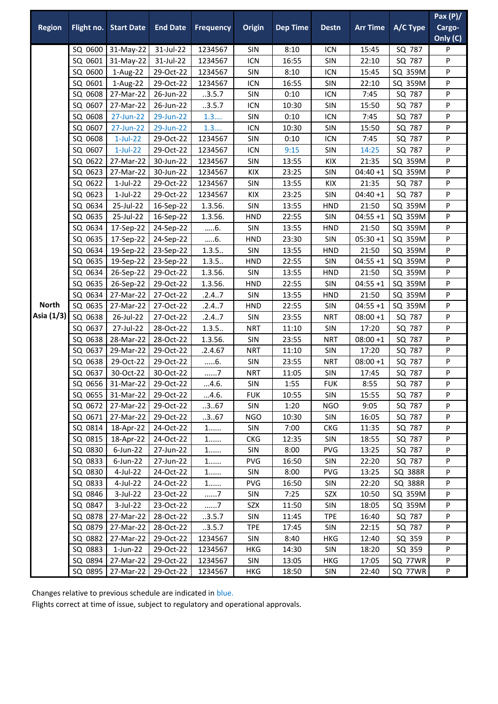|               |         |                              |                 |                  |               |                 |              |                 |                | Pax $(P)/$ |
|---------------|---------|------------------------------|-----------------|------------------|---------------|-----------------|--------------|-----------------|----------------|------------|
| <b>Region</b> |         | <b>Flight no. Start Date</b> | <b>End Date</b> | <b>Frequency</b> | <b>Origin</b> | <b>Dep Time</b> | <b>Destn</b> | <b>Arr Time</b> | A/C Type       | Cargo-     |
|               |         |                              |                 |                  |               |                 |              |                 |                | Only (C)   |
|               |         | SQ 0600 31-May-22            | 31-Jul-22       | 1234567          | SIN           | 8:10            | ICN          | 15:45           | SQ 787         | P          |
|               | SQ 0601 | 31-May-22                    | 31-Jul-22       | 1234567          | ICN           | 16:55           | SIN          | 22:10           | SQ 787         | P          |
|               | SQ 0600 | 1-Aug-22                     | 29-Oct-22       | 1234567          | SIN           | 8:10            | ICN          | 15:45           | SQ 359M        | P          |
|               | SQ 0601 | 1-Aug-22                     | 29-Oct-22       | 1234567          | ICN           | 16:55           | SIN          | 22:10           | SQ 359M        | P          |
|               | SQ 0608 | 27-Mar-22                    | 26-Jun-22       | .3.5.7           | SIN           | 0:10            | ICN          | 7:45            | SQ 787         | P          |
|               | SQ 0607 | 27-Mar-22                    | 26-Jun-22       | .3.5.7           | ICN           | 10:30           | SIN          | 15:50           | SQ 787         | P          |
|               | SQ 0608 | 27-Jun-22                    | 29-Jun-22       | 1.3              | SIN           | 0:10            | ICN          | 7:45            | SQ 787         | P          |
|               | SQ 0607 | 27-Jun-22                    | 29-Jun-22       | 1.3              | ICN           | 10:30           | SIN          | 15:50           | SQ 787         | P          |
|               | SQ 0608 | $1$ -Jul-22                  | 29-Oct-22       | 1234567          | SIN           | 0:10            | <b>ICN</b>   | 7:45            | SQ 787         | P          |
|               | SQ 0607 | $1$ -Jul-22                  | 29-Oct-22       | 1234567          | ICN           | 9:15            | SIN          | 14:25           | SQ 787         | P          |
|               | SQ 0622 | 27-Mar-22                    | 30-Jun-22       | 1234567          | SIN           | 13:55           | KIX          | 21:35           | SQ 359M        | P          |
|               | SQ 0623 | 27-Mar-22                    | 30-Jun-22       | 1234567          | KIX           | 23:25           | SIN          | $04:40+1$       | SQ 359M        | P          |
|               | SQ 0622 | $1$ -Jul-22                  | 29-Oct-22       | 1234567          | SIN           | 13:55           | KIX          | 21:35           | SQ 787         | P          |
|               | SQ 0623 | $1$ -Jul-22                  | 29-Oct-22       | 1234567          | KIX           | 23:25           | SIN          | $04:40+1$       | SQ 787         | P          |
|               | SQ 0634 | 25-Jul-22                    | 16-Sep-22       | 1.3.56.          | SIN           | 13:55           | <b>HND</b>   | 21:50           | SQ 359M        | P          |
|               | SQ 0635 | 25-Jul-22                    | 16-Sep-22       | 1.3.56.          | <b>HND</b>    | 22:55           | SIN          | $04:55 + 1$     | SQ 359M        | P          |
|               | SQ 0634 | 17-Sep-22                    | 24-Sep-22       | 6.               | SIN           | 13:55           | <b>HND</b>   | 21:50           | SQ 359M        | P          |
|               | SQ 0635 | 17-Sep-22                    | 24-Sep-22       | $6$ .            | <b>HND</b>    | 23:30           | SIN          | $05:30 + 1$     | SQ 359M        | P          |
|               | SQ 0634 | 19-Sep-22                    | 23-Sep-22       | 1.3.5            | SIN           | 13:55           | <b>HND</b>   | 21:50           | SQ 359M        | P          |
|               | SQ 0635 | 19-Sep-22                    | 23-Sep-22       | 1.3.5            | <b>HND</b>    | 22:55           | SIN          | $04:55 + 1$     | SQ 359M        | P          |
|               | SQ 0634 | 26-Sep-22                    | 29-Oct-22       | 1.3.56.          | SIN           | 13:55           | <b>HND</b>   | 21:50           | SQ 359M        | P          |
|               | SQ 0635 | 26-Sep-22                    | 29-Oct-22       | 1.3.56.          | <b>HND</b>    | 22:55           | <b>SIN</b>   | $04:55 + 1$     | SQ 359M        | P          |
|               | SQ 0634 | 27-Mar-22                    | 27-Oct-22       | .2.4.7           | SIN           | 13:55           | <b>HND</b>   | 21:50           | SQ 359M        | P          |
| <b>North</b>  | SQ 0635 | 27-Mar-22                    | 27-Oct-22       | .2.47            | <b>HND</b>    | 22:55           | SIN          | $04:55 + 1$     | SQ 359M        | P          |
| Asia (1/3)    | SQ 0638 | 26-Jul-22                    | 27-Oct-22       | .2.4.7           | SIN           | 23:55           | <b>NRT</b>   | $08:00 + 1$     | SQ 787         | Ρ          |
|               | SQ 0637 | 27-Jul-22                    | 28-Oct-22       | 1.3.5            | <b>NRT</b>    | 11:10           | SIN          | 17:20           | SQ 787         | P          |
|               | SQ 0638 | 28-Mar-22                    | 28-Oct-22       | 1.3.56.          | SIN           | 23:55           | <b>NRT</b>   | $08:00 + 1$     | SQ 787         | P          |
|               | SQ 0637 | 29-Mar-22                    | 29-Oct-22       | .2.4.67          | <b>NRT</b>    | 11:10           | SIN          | 17:20           | SQ 787         | P          |
|               | SQ 0638 | 29-Oct-22                    | 29-Oct-22       | $6$ .            | SIN           | 23:55           | <b>NRT</b>   | $08:00 + 1$     | SQ 787         | P          |
|               | SQ 0637 | 30-Oct-22                    | 30-Oct-22       | 7                | <b>NRT</b>    | 11:05           | SIN          | 17:45           | SQ 787         | P          |
|               |         | SQ 0656 31-Mar-22 29-Oct-22  |                 | 4.6.             | <b>SIN</b>    | 1:55            | <b>FUK</b>   | 8:55            | SQ 787         | P          |
|               |         | SQ 0655 31-Mar-22            | 29-Oct-22       | 4.6.             | <b>FUK</b>    | 10:55           | <b>SIN</b>   | 15:55           | SQ 787         | P          |
|               | SQ 0672 | 27-Mar-22                    | 29-Oct-22       | .3.67            | SIN           | 1:20            | <b>NGO</b>   | 9:05            | SQ 787         | P          |
|               | SQ 0671 | 27-Mar-22                    | 29-Oct-22       | 367              | <b>NGO</b>    | 10:30           | SIN          | 16:05           | SQ 787         | P          |
|               | SQ 0814 | 18-Apr-22                    | 24-Oct-22       | 1.               | SIN           | 7:00            | <b>CKG</b>   | 11:35           | SQ 787         | P          |
|               | SQ 0815 | 18-Apr-22                    | 24-Oct-22       | 1                | <b>CKG</b>    | 12:35           | <b>SIN</b>   | 18:55           | SQ 787         | P          |
|               | SQ 0830 | $6$ -Jun-22                  | 27-Jun-22       | $1$              | SIN           | 8:00            | <b>PVG</b>   | 13:25           | SQ 787         | P          |
|               | SQ 0833 | $6$ -Jun-22                  | 27-Jun-22       | 1                | <b>PVG</b>    | 16:50           | <b>SIN</b>   | 22:20           | SQ 787         | P          |
|               | SQ 0830 | 4-Jul-22                     | 24-Oct-22       | $1$              | SIN           | 8:00            | PVG          | 13:25           | <b>SQ 388R</b> | P          |
|               | SQ 0833 | 4-Jul-22                     | 24-Oct-22       | $1$              | PVG           | 16:50           | SIN          | 22:20           | SQ 388R        | P          |
|               | SQ 0846 | 3-Jul-22                     | 23-Oct-22       | 7                | SIN           | 7:25            | SZX          | 10:50           | SQ 359M        | P          |
|               | SQ 0847 | 3-Jul-22                     | 23-Oct-22       | 7                | SZX           | 11:50           | SIN          | 18:05           | SQ 359M        | P          |
|               | SQ 0878 | 27-Mar-22                    | 28-Oct-22       | .3.5.7           | SIN           | 11:45           | <b>TPE</b>   | 16:40           | SQ 787         | P          |
|               | SQ 0879 | 27-Mar-22                    | 28-Oct-22       | .3.5.7           | <b>TPE</b>    | 17:45           | SIN          | 22:15           | SQ 787         | P          |
|               | SQ 0882 | 27-Mar-22                    | 29-Oct-22       | 1234567          | <b>SIN</b>    | 8:40            | HKG          | 12:40           | SQ 359         | P          |
|               | SQ 0883 | 1-Jun-22                     | 29-Oct-22       | 1234567          | HKG           | 14:30           | <b>SIN</b>   | 18:20           | SQ 359         | P          |
|               | SQ 0894 | 27-Mar-22                    | 29-Oct-22       | 1234567          | SIN           | 13:05           | <b>HKG</b>   | 17:05           | SQ 77WR        | P          |
|               | SQ 0895 | 27-Mar-22                    | 29-Oct-22       | 1234567          | <b>HKG</b>    | 18:50           | SIN          | 22:40           | SQ 77WR        | P          |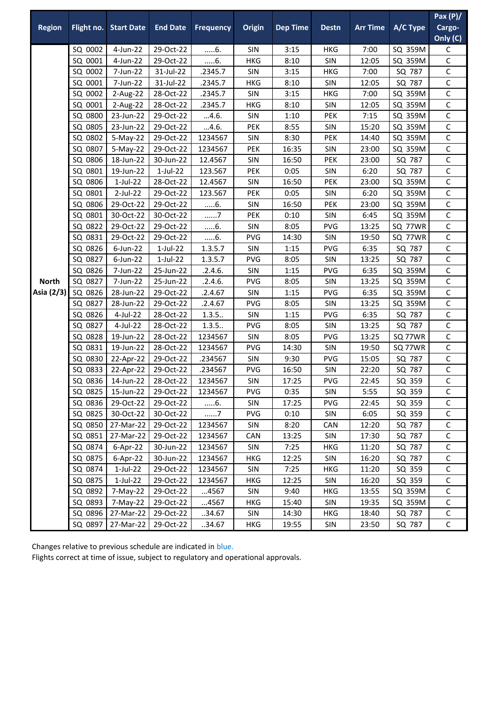|               |                    |                                           |                        |                    |            |                 |              |                 |                  | Pax $(P)/$                   |
|---------------|--------------------|-------------------------------------------|------------------------|--------------------|------------|-----------------|--------------|-----------------|------------------|------------------------------|
| <b>Region</b> | Flight no.         | <b>Start Date</b>                         | <b>End Date</b>        | <b>Frequency</b>   | Origin     | <b>Dep Time</b> | <b>Destn</b> | <b>Arr Time</b> | A/C Type         | Cargo-                       |
|               |                    |                                           |                        |                    |            |                 |              |                 |                  | Only (C)                     |
|               | SQ 0002            | 4-Jun-22                                  | 29-Oct-22              | $6$ .              | <b>SIN</b> | 3:15            | HKG          | 7:00            | SQ 359M          | С                            |
|               | SQ 0001            | 4-Jun-22                                  | 29-Oct-22              | 6                  | <b>HKG</b> | 8:10            | SIN          | 12:05           | SQ 359M          | $\mathsf{C}$                 |
|               | SQ 0002            | 7-Jun-22                                  | 31-Jul-22              | .2345.7            | SIN        | 3:15            | HKG          | 7:00            | SQ 787           | C                            |
|               | SQ 0001            | 7-Jun-22                                  | 31-Jul-22              | .2345.7            | <b>HKG</b> | 8:10            | SIN          | 12:05           | SQ 787           | C                            |
|               | SQ 0002            | 2-Aug-22                                  | 28-Oct-22              | .2345.7            | SIN        | 3:15            | <b>HKG</b>   | 7:00            | SQ 359M          | C                            |
|               | SQ 0001            | 2-Aug-22                                  | 28-Oct-22              | .2345.7            | HKG        | 8:10            | <b>SIN</b>   | 12:05           | SQ 359M          | $\mathsf{C}$                 |
|               | SQ 0800            | 23-Jun-22                                 | 29-Oct-22              | 4.6.               | SIN        | 1:10            | <b>PEK</b>   | 7:15            | SQ 359M          | $\mathsf{C}$                 |
|               | SQ 0805            | 23-Jun-22                                 | 29-Oct-22              | 4.6.               | <b>PEK</b> | 8:55            | SIN          | 15:20           | SQ 359M          | C                            |
|               | SQ 0802            | 5-May-22                                  | 29-Oct-22              | 1234567            | SIN        | 8:30            | <b>PEK</b>   | 14:40           | SQ 359M          | C                            |
|               | SQ 0807            | 5-May-22                                  | 29-Oct-22              | 1234567            | <b>PEK</b> | 16:35           | SIN          | 23:00           | SQ 359M          | $\mathsf C$                  |
|               | SQ 0806            | 18-Jun-22                                 | 30-Jun-22              | 12.4567            | SIN        | 16:50           | <b>PEK</b>   | 23:00           | SQ 787           | C                            |
|               | SQ 0801            | 19-Jun-22                                 | $1$ -Jul-22            | 123.567            | <b>PEK</b> | 0:05            | SIN          | 6:20            | SQ 787           | $\mathsf{C}$                 |
|               | SQ 0806            | $1$ -Jul-22                               | 28-Oct-22              | 12.4567            | SIN        | 16:50           | <b>PEK</b>   | 23:00           | SQ 359M          | C                            |
|               | SQ 0801            | 2-Jul-22                                  | 29-Oct-22              | 123.567            | <b>PEK</b> | 0:05            | SIN          | 6:20            | SQ 359M          | C                            |
|               | SQ 0806            | 29-Oct-22                                 | 29-Oct-22              | $6$ .              | SIN        | 16:50           | PEK          | 23:00           | SQ 359M          | $\mathsf{C}$                 |
|               | SQ 0801            | 30-Oct-22                                 | 30-Oct-22              | 7                  | <b>PEK</b> | 0:10            | SIN          | 6:45            | SQ 359M          | $\mathsf{C}$                 |
|               | SQ 0822            | 29-Oct-22                                 | 29-Oct-22              | 6                  | SIN        | 8:05            | <b>PVG</b>   | 13:25           | SQ 77WR          | $\mathsf{C}$                 |
|               | SQ 0831            | 29-Oct-22                                 | 29-Oct-22              | $6$ .              | <b>PVG</b> | 14:30           | SIN          | 19:50           | SQ 77WR          | C                            |
|               | SQ 0826            | 6-Jun-22                                  | $1$ -Jul-22            | 1.3.5.7            | SIN        | 1:15            | <b>PVG</b>   | 6:35            | SQ 787           | C                            |
|               | SQ 0827            | $6$ -Jun-22                               | $1$ -Jul-22            | 1.3.5.7            | <b>PVG</b> | 8:05            | SIN          | 13:25           | SQ 787           | $\mathsf C$                  |
|               | SQ 0826            | 7-Jun-22                                  | 25-Jun-22              | .2.4.6.            | <b>SIN</b> | 1:15            | <b>PVG</b>   | 6:35            | SQ 359M          | $\mathsf{C}$                 |
| <b>North</b>  | SQ 0827            | 7-Jun-22                                  | 25-Jun-22              | .2.4.6.            | <b>PVG</b> | 8:05            | SIN          | 13:25           | SQ 359M          | $\mathsf{C}$                 |
| Asia (2/3)    | SQ 0826            | 28-Jun-22                                 | 29-Oct-22              | .2.4.67            | SIN        | 1:15            | <b>PVG</b>   | 6:35            | SQ 359M          | C                            |
|               | SQ 0827            | 28-Jun-22                                 | 29-Oct-22              | .2.4.67            | PVG        | 8:05            | SIN          | 13:25           | SQ 359M          | C                            |
|               | SQ 0826            | 4-Jul-22                                  | 28-Oct-22              | 1.3.5              | SIN        | 1:15            | <b>PVG</b>   | 6:35            | SQ 787           | $\mathsf C$                  |
|               | SQ 0827            | 4-Jul-22                                  | 28-Oct-22              | 1.3.5              | <b>PVG</b> | 8:05            | SIN          | 13:25           | SQ 787           | $\mathsf{C}$                 |
|               | SQ 0828            | 19-Jun-22                                 | 28-Oct-22              | 1234567            | SIN        | 8:05            | <b>PVG</b>   | 13:25           | SQ 77WR          | $\mathsf{C}$                 |
|               | SQ 0831            | 19-Jun-22                                 | 28-Oct-22              | 1234567            | <b>PVG</b> | 14:30           | SIN          | 19:50           | SQ 77WR          | C                            |
|               | SQ 0830            | 22-Apr-22                                 | 29-Oct-22              | .234567            | SIN        | 9:30            | <b>PVG</b>   | 15:05           | SQ 787           | С                            |
|               | SQ 0833            | 22-Apr-22                                 | 29-Oct-22              | .234567            | <b>PVG</b> | 16:50           | SIN          | 22:20           | SQ 787           | $\mathsf C$                  |
|               |                    | SQ 0836   14-Jun-22   28-Oct-22   1234567 |                        |                    | SIN        | 17:25           | PVG          | 22:45           | SQ 359           | $\mathsf C$                  |
|               | SQ 0825            | 15-Jun-22                                 | 29-Oct-22              | 1234567            | <b>PVG</b> | 0:35            | <b>SIN</b>   | 5:55            | SQ 359           | C                            |
|               | SQ 0836            | 29-Oct-22                                 | 29-Oct-22              | 6.                 | SIN        | 17:25           | <b>PVG</b>   | 22:45           | SQ 359           | C                            |
|               | SQ 0825            | 30-Oct-22                                 | 30-Oct-22              | 7                  | <b>PVG</b> | 0:10            | <b>SIN</b>   | 6:05            | SQ 359           | C                            |
|               | SQ 0850<br>SQ 0851 | 27-Mar-22<br>27-Mar-22                    | 29-Oct-22<br>29-Oct-22 | 1234567<br>1234567 | SIN        | 8:20            | CAN          | 12:20<br>17:30  | SQ 787<br>SQ 787 | $\mathsf{C}$<br>$\mathsf{C}$ |
|               |                    |                                           |                        |                    | CAN        | 13:25           | SIN          |                 |                  | $\mathsf{C}$                 |
|               | SQ 0874            | 6-Apr-22                                  | 30-Jun-22              | 1234567            | SIN        | 7:25            | HKG          | 11:20           | SQ 787           |                              |
|               | SQ 0875<br>SQ 0874 | $6$ -Apr-22                               | 30-Jun-22<br>29-Oct-22 | 1234567            | HKG        | 12:25           | <b>SIN</b>   | 16:20<br>11:20  | SQ 787<br>SQ 359 | C<br>C                       |
|               | SQ 0875            | $1$ -Jul-22<br>1-Jul-22                   | 29-Oct-22              | 1234567<br>1234567 | <b>SIN</b> | 7:25<br>12:25   | HKG          | 16:20           | SQ 359           | $\mathsf{C}$                 |
|               | SQ 0892            | 7-May-22                                  | 29-Oct-22              | 4567               | HKG<br>SIN | 9:40            | SIN<br>HKG   | 13:55           | SQ 359M          | С                            |
|               | SQ 0893            | 7-May-22                                  |                        |                    |            |                 |              |                 |                  | $\mathsf{C}$                 |
|               |                    | SQ 0896 27-Mar-22                         | 29-Oct-22              | 4567               | HKG        | 15:40           | <b>SIN</b>   | 19:35           | SQ 359M          |                              |
|               |                    | SQ 0897 27-Mar-22                         | 29-Oct-22              | 34.67              | <b>SIN</b> | 14:30           | HKG          | 18:40           | SQ 787           | C<br>$\mathsf{C}$            |
|               |                    |                                           | 29-Oct-22              | 34.67              | HKG        | 19:55           | SIN          | 23:50           | SQ 787           |                              |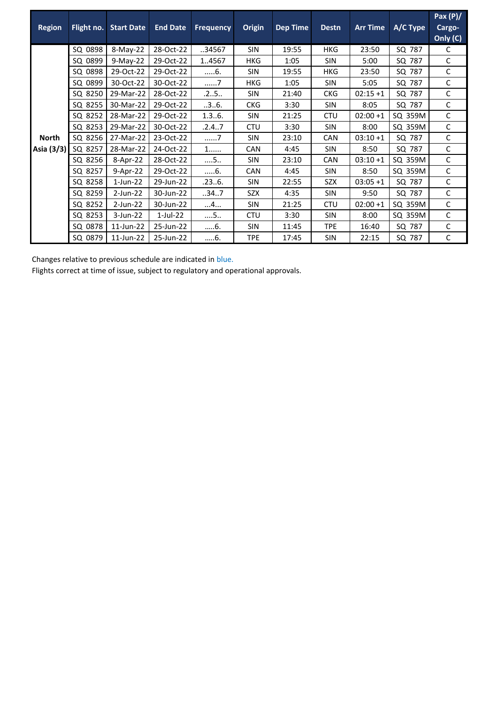| <b>Region</b> |         | Flight no. Start Date | <b>End Date</b> | <b>Frequency</b> | <b>Origin</b> | <b>Dep Time</b> | <b>Destn</b> | <b>Arr Time</b> | A/C Type | Pax $(P)/$<br>Cargo-<br>Only (C) |
|---------------|---------|-----------------------|-----------------|------------------|---------------|-----------------|--------------|-----------------|----------|----------------------------------|
|               | SQ 0898 | $8-May-22$            | 28-Oct-22       | 34567            | <b>SIN</b>    | 19:55           | <b>HKG</b>   | 23:50           | SQ 787   | C                                |
|               | SQ 0899 | $9-May-22$            | 29-Oct-22       | 1.4567           | <b>HKG</b>    | 1:05            | <b>SIN</b>   | 5:00            | SQ 787   | C                                |
|               | SQ 0898 | 29-Oct-22             | 29-Oct-22       | 6.               | <b>SIN</b>    | 19:55           | <b>HKG</b>   | 23:50           | SQ 787   | C                                |
|               | SQ 0899 | 30-Oct-22             | 30-Oct-22       | 7                | <b>HKG</b>    | 1:05            | <b>SIN</b>   | 5:05            | SQ 787   | C                                |
|               | SQ 8250 | 29-Mar-22             | 28-Oct-22       | .25              | <b>SIN</b>    | 21:40           | <b>CKG</b>   | $02:15+1$       | SQ 787   | C                                |
|               | SQ 8255 | 30-Mar-22             | 29-Oct-22       | .3.6.            | <b>CKG</b>    | 3:30            | <b>SIN</b>   | 8:05            | SQ 787   | C                                |
|               | SQ 8252 | 28-Mar-22             | 29-Oct-22       | 1.36.            | <b>SIN</b>    | 21:25           | <b>CTU</b>   | $02:00+1$       | SQ 359M  | C.                               |
|               | SQ 8253 | 29-Mar-22             | 30-Oct-22       | .2.4.7           | <b>CTU</b>    | 3:30            | <b>SIN</b>   | 8:00            | SQ 359M  | C                                |
| <b>North</b>  | SQ 8256 | 27-Mar-22             | 23-Oct-22       | . 7              | <b>SIN</b>    | 23:10           | <b>CAN</b>   | $03:10+1$       | SQ 787   | C                                |
| Asia (3/3)    | SQ 8257 | 28-Mar-22             | 24-Oct-22       | $1$              | <b>CAN</b>    | 4:45            | <b>SIN</b>   | 8:50            | SQ 787   | C                                |
|               | SQ 8256 | 8-Apr-22              | 28-Oct-22       | $\dots$ 5        | <b>SIN</b>    | 23:10           | <b>CAN</b>   | $03:10+1$       | SQ 359M  | C                                |
|               | SQ 8257 | 9-Apr-22              | 29-Oct-22       | 6.               | <b>CAN</b>    | 4:45            | <b>SIN</b>   | 8:50            | SQ 359M  | C                                |
|               | SQ 8258 | $1$ -Jun-22           | 29-Jun-22       | .236.            | <b>SIN</b>    | 22:55           | <b>SZX</b>   | $03:05+1$       | SQ 787   | C                                |
|               | SQ 8259 | $2$ -Jun-22           | 30-Jun-22       | 347              | <b>SZX</b>    | 4:35            | <b>SIN</b>   | 9:50            | SQ 787   | C                                |
|               | SQ 8252 | $2$ -Jun-22           | 30-Jun-22       | . 4.             | <b>SIN</b>    | 21:25           | <b>CTU</b>   | $02:00+1$       | SQ 359M  | C                                |
|               | SQ 8253 | $3$ -Jun-22           | $1$ -Jul-22     | 5                | <b>CTU</b>    | 3:30            | <b>SIN</b>   | 8:00            | SQ 359M  | C                                |
|               | SQ 0878 | 11-Jun-22             | 25-Jun-22       | 6.               | <b>SIN</b>    | 11:45           | <b>TPE</b>   | 16:40           | SQ 787   | C                                |
|               | SQ 0879 | 11-Jun-22             | 25-Jun-22       | 6.               | <b>TPE</b>    | 17:45           | <b>SIN</b>   | 22:15           | SQ 787   | С                                |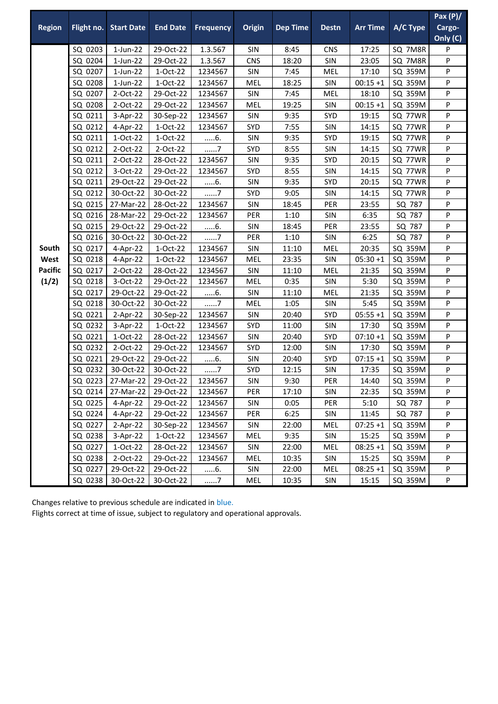|                                                           |            |                     |                 |                  |               |                 |              |                 |          | Pax $(P)/$         |
|-----------------------------------------------------------|------------|---------------------|-----------------|------------------|---------------|-----------------|--------------|-----------------|----------|--------------------|
|                                                           | Flight no. | <b>Start Date</b>   | <b>End Date</b> | <b>Frequency</b> | <b>Origin</b> | <b>Dep Time</b> | <b>Destn</b> | <b>Arr Time</b> | A/C Type | Cargo-<br>Only (C) |
|                                                           | SQ 0203    | $1$ -Jun-22         | 29-Oct-22       | 1.3.567          | SIN           | 8:45            | <b>CNS</b>   | 17:25           | SQ 7M8R  | P                  |
| <b>Region</b><br>South<br>West<br><b>Pacific</b><br>(1/2) | SQ 0204    | $1$ -Jun-22         | 29-Oct-22       | 1.3.567          | <b>CNS</b>    | 18:20           | SIN          | 23:05           | SQ 7M8R  | P                  |
|                                                           | SQ 0207    | $1$ -Jun-22         | $1-Oct-22$      | 1234567          | SIN           | 7:45            | MEL          | 17:10           | SQ 359M  | P                  |
|                                                           | SQ 0208    | $1$ -Jun-22         | 1-Oct-22        | 1234567          | <b>MEL</b>    | 18:25           | SIN          | $00:15 + 1$     | SQ 359M  | P                  |
|                                                           | SQ 0207    | 2-Oct-22            | 29-Oct-22       | 1234567          | SIN           | 7:45            | <b>MEL</b>   | 18:10           | SQ 359M  | P                  |
|                                                           | SQ 0208    | 2-Oct-22            | 29-Oct-22       | 1234567          | <b>MEL</b>    | 19:25           | SIN          | $00:15 + 1$     | SQ 359M  | P                  |
|                                                           | SQ 0211    | 3-Apr-22            | 30-Sep-22       | 1234567          | <b>SIN</b>    | 9:35            | SYD          | 19:15           | SQ 77WR  | P                  |
|                                                           | SQ 0212    | 4-Apr-22            | 1-Oct-22        | 1234567          | SYD           | 7:55            | SIN          | 14:15           | SQ 77WR  | P                  |
|                                                           | SQ 0211    | 1-Oct-22            | 1-Oct-22        | 6.               | SIN           | 9:35            | SYD          | 19:15           | SQ 77WR  | P                  |
|                                                           | SQ 0212    | 2-Oct-22            | 2-Oct-22        | 7                | SYD           | 8:55            | SIN          | 14:15           | SQ 77WR  | P                  |
|                                                           | SQ 0211    | 2-Oct-22            | 28-Oct-22       | 1234567          | SIN           | 9:35            | SYD          | 20:15           | SQ 77WR  | P                  |
|                                                           | SQ 0212    | 3-Oct-22            | 29-Oct-22       | 1234567          | SYD           | 8:55            | SIN          | 14:15           | SQ 77WR  | P                  |
|                                                           | SQ 0211    | 29-Oct-22           | 29-Oct-22       | 6.               | SIN           | 9:35            | SYD          | 20:15           | SQ 77WR  | P                  |
|                                                           | SQ 0212    | 30-Oct-22           | 30-Oct-22       | 7                | SYD           | 9:05            | SIN          | 14:15           | SQ 77WR  | P                  |
|                                                           | SQ 0215    | 27-Mar-22           | 28-Oct-22       | 1234567          | SIN           | 18:45           | PER          | 23:55           | SQ 787   | P                  |
|                                                           | SQ 0216    | 28-Mar-22           | 29-Oct-22       | 1234567          | PER           | 1:10            | SIN          | 6:35            | SQ 787   | P                  |
|                                                           | SQ 0215    | 29-Oct-22           | 29-Oct-22       | 6.               | SIN           | 18:45           | PER          | 23:55           | SQ 787   | P                  |
|                                                           | SQ 0216    | 30-Oct-22           | 30-Oct-22       | 7                | PER           | 1:10            | SIN          | 6:25            | SQ 787   | P                  |
|                                                           | SQ 0217    | 4-Apr-22            | 1-Oct-22        | 1234567          | SIN           | 11:10           | <b>MEL</b>   | 20:35           | SQ 359M  | P                  |
|                                                           | SQ 0218    | 4-Apr-22            | 1-Oct-22        | 1234567          | MEL           | 23:35           | SIN          | $05:30+1$       | SQ 359M  | P                  |
|                                                           | SQ 0217    | $2-Oct-22$          | 28-Oct-22       | 1234567          | SIN           | 11:10           | <b>MEL</b>   | 21:35           | SQ 359M  | P                  |
|                                                           | SQ 0218    | 3-Oct-22            | 29-Oct-22       | 1234567          | <b>MEL</b>    | 0:35            | SIN          | 5:30            | SQ 359M  | P                  |
|                                                           | SQ 0217    | 29-Oct-22           | 29-Oct-22       | 6.               | SIN           | 11:10           | MEL          | 21:35           | SQ 359M  | P                  |
|                                                           | SQ 0218    | 30-Oct-22           | 30-Oct-22       | 7                | <b>MEL</b>    | 1:05            | SIN          | 5:45            | SQ 359M  | P                  |
|                                                           | SQ 0221    | $2-Apr-22$          | 30-Sep-22       | 1234567          | SIN           | 20:40           | SYD          | $05:55+1$       | SQ 359M  | P                  |
|                                                           | SQ 0232    | 3-Apr-22            | 1-Oct-22        | 1234567          | SYD           | 11:00           | SIN          | 17:30           | SQ 359M  | P                  |
|                                                           | SQ 0221    | $1-Oct-22$          | 28-Oct-22       | 1234567          | SIN           | 20:40           | SYD          | $07:10+1$       | SQ 359M  | P                  |
|                                                           | SQ 0232    | 2-Oct-22            | 29-Oct-22       | 1234567          | SYD           | 12:00           | SIN          | 17:30           | SQ 359M  | P                  |
|                                                           | SQ 0221    | 29-Oct-22           | 29-Oct-22       | 6.               | SIN           | 20:40           | SYD          | $07:15+1$       | SQ 359M  | P                  |
|                                                           | SQ 0232    | 30-Oct-22           | 30-Oct-22       | 7                | SYD           | 12:15           | SIN          | 17:35           | SQ 359M  | P                  |
|                                                           |            | SQ 0223 27-Mar-22   | 29-Oct-22       | 1234567          | SIN           | 9:30            | PER          | 14:40           | SQ 359M  | P                  |
|                                                           |            | SQ 0214   27-Mar-22 | 29-Oct-22       | 1234567          | PER           | 17:10           | <b>SIN</b>   | 22:35           | SQ 359M  | P                  |
|                                                           | SQ 0225    | 4-Apr-22            | 29-Oct-22       | 1234567          | <b>SIN</b>    | 0:05            | PER          | 5:10            | SQ 787   | P                  |
|                                                           | SQ 0224    | 4-Apr-22            | 29-Oct-22       | 1234567          | PER           | 6:25            | SIN          | 11:45           | SQ 787   | P                  |
|                                                           | SQ 0227    | 2-Apr-22            | 30-Sep-22       | 1234567          | <b>SIN</b>    | 22:00           | MEL          | $07:25+1$       | SQ 359M  | P                  |
|                                                           | SQ 0238    | $3-Apr-22$          | 1-Oct-22        | 1234567          | <b>MEL</b>    | 9:35            | SIN          | 15:25           | SQ 359M  | P                  |
|                                                           | SQ 0227    | 1-Oct-22            | 28-Oct-22       | 1234567          | SIN           | 22:00           | <b>MEL</b>   | $08:25+1$       | SQ 359M  | P                  |
|                                                           | SQ 0238    | 2-Oct-22            | 29-Oct-22       | 1234567          | <b>MEL</b>    | 10:35           | SIN          | 15:25           | SQ 359M  | P                  |
|                                                           | SQ 0227    | 29-Oct-22           | 29-Oct-22       | 6.               | SIN           | 22:00           | MEL          | $08:25 + 1$     | SQ 359M  | P                  |
|                                                           | SQ 0238    | 30-Oct-22           | 30-Oct-22       | 7                | MEL           | 10:35           | SIN          | 15:15           | SQ 359M  | P                  |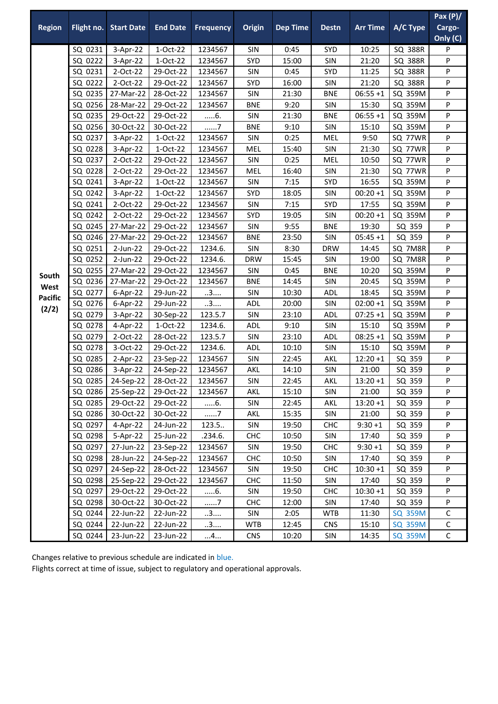|                |            |                             |                 |                  |               |                 |              |                 |                | Pax $(P)/$  |
|----------------|------------|-----------------------------|-----------------|------------------|---------------|-----------------|--------------|-----------------|----------------|-------------|
| <b>Region</b>  | Flight no. | <b>Start Date</b>           | <b>End Date</b> | <b>Frequency</b> | <b>Origin</b> | <b>Dep Time</b> | <b>Destn</b> | <b>Arr Time</b> | A/C Type       | Cargo-      |
|                |            |                             |                 |                  |               |                 |              |                 |                | Only (C)    |
|                | SQ 0231    | 3-Apr-22                    | 1-Oct-22        | 1234567          | SIN           | 0:45            | SYD          | 10:25           | SQ 388R        | P           |
|                | SQ 0222    | 3-Apr-22                    | 1-Oct-22        | 1234567          | SYD           | 15:00           | SIN          | 21:20           | SQ 388R        | P           |
|                | SQ 0231    | 2-Oct-22                    | 29-Oct-22       | 1234567          | SIN           | 0:45            | SYD          | 11:25           | SQ 388R        | P           |
|                | SQ 0222    | 2-Oct-22                    | 29-Oct-22       | 1234567          | <b>SYD</b>    | 16:00           | SIN          | 21:20           | SQ 388R        | P           |
|                | SQ 0235    | 27-Mar-22                   | 28-Oct-22       | 1234567          | SIN           | 21:30           | <b>BNE</b>   | $06:55 + 1$     | SQ 359M        | P           |
|                | SQ 0256    | 28-Mar-22                   | 29-Oct-22       | 1234567          | <b>BNE</b>    | 9:20            | SIN          | 15:30           | SQ 359M        | P           |
|                | SQ 0235    | 29-Oct-22                   | 29-Oct-22       | $6$ .            | SIN           | 21:30           | <b>BNE</b>   | $06:55 + 1$     | SQ 359M        | P           |
|                | SQ 0256    | 30-Oct-22                   | 30-Oct-22       | 7                | <b>BNE</b>    | 9:10            | SIN          | 15:10           | SQ 359M        | P           |
|                | SQ 0237    | 3-Apr-22                    | $1-Oct-22$      | 1234567          | SIN           | 0:25            | MEL          | 9:50            | SQ 77WR        | P           |
|                | SQ 0228    | 3-Apr-22                    | 1-Oct-22        | 1234567          | MEL           | 15:40           | <b>SIN</b>   | 21:30           | SQ 77WR        | P           |
|                | SQ 0237    | 2-Oct-22                    | 29-Oct-22       | 1234567          | SIN           | 0:25            | <b>MEL</b>   | 10:50           | SQ 77WR        | P           |
|                | SQ 0228    | 2-Oct-22                    | 29-Oct-22       | 1234567          | <b>MEL</b>    | 16:40           | SIN          | 21:30           | SQ 77WR        | P           |
|                | SQ 0241    | 3-Apr-22                    | 1-Oct-22        | 1234567          | SIN           | 7:15            | SYD          | 16:55           | SQ 359M        | P           |
|                | SQ 0242    | 3-Apr-22                    | 1-Oct-22        | 1234567          | <b>SYD</b>    | 18:05           | SIN          | $00:20 + 1$     | SQ 359M        | P           |
|                | SQ 0241    | 2-Oct-22                    | 29-Oct-22       | 1234567          | SIN           | 7:15            | SYD          | 17:55           | SQ 359M        | P           |
|                | SQ 0242    | 2-Oct-22                    | 29-Oct-22       | 1234567          | <b>SYD</b>    | 19:05           | SIN          | $00:20 + 1$     | SQ 359M        | P           |
|                | SQ 0245    | 27-Mar-22                   | 29-Oct-22       | 1234567          | SIN           | 9:55            | <b>BNE</b>   | 19:30           | SQ 359         | P           |
|                | SQ 0246    | 27-Mar-22                   | 29-Oct-22       | 1234567          | <b>BNE</b>    | 23:50           | SIN          | $05:45+1$       | SQ 359         | P           |
|                | SQ 0251    | 2-Jun-22                    | 29-Oct-22       | 1234.6.          | SIN           | 8:30            | <b>DRW</b>   | 14:45           | SQ 7M8R        | P           |
|                | SQ 0252    | 2-Jun-22                    | 29-Oct-22       | 1234.6.          | <b>DRW</b>    | 15:45           | <b>SIN</b>   | 19:00           | SQ 7M8R        | P           |
|                | SQ 0255    | 27-Mar-22                   | 29-Oct-22       | 1234567          | SIN           | 0:45            | <b>BNE</b>   | 10:20           | SQ 359M        | P           |
| South<br>West  | SQ 0236    | 27-Mar-22                   | 29-Oct-22       | 1234567          | <b>BNE</b>    | 14:45           | SIN          | 20:45           | SQ 359M        | P           |
| <b>Pacific</b> | SQ 0277    | 6-Apr-22                    | 29-Jun-22       | 3                | SIN           | 10:30           | <b>ADL</b>   | 18:45           | SQ 359M        | P           |
|                | SQ 0276    | 6-Apr-22                    | 29-Jun-22       | 3                | <b>ADL</b>    | 20:00           | SIN          | $02:00 + 1$     | SQ 359M        | P           |
| (2/2)          | SQ 0279    | 3-Apr-22                    | 30-Sep-22       | 123.5.7          | SIN           | 23:10           | <b>ADL</b>   | $07:25+1$       | SQ 359M        | P           |
|                | SQ 0278    | 4-Apr-22                    | 1-Oct-22        | 1234.6.          | ADL           | 9:10            | SIN          | 15:10           | SQ 359M        | P           |
|                | SQ 0279    | 2-Oct-22                    | 28-Oct-22       | 123.5.7          | SIN           | 23:10           | <b>ADL</b>   | $08:25 + 1$     | SQ 359M        | P           |
|                | SQ 0278    | 3-Oct-22                    | 29-Oct-22       | 1234.6.          | <b>ADL</b>    | 10:10           | SIN          | 15:10           | SQ 359M        | P           |
|                | SQ 0285    | $2-Apr-22$                  | 23-Sep-22       | 1234567          | SIN           | 22:45           | AKL          | $12:20 + 1$     | SQ 359         | P           |
|                | SQ 0286    | 3-Apr-22                    | 24-Sep-22       | 1234567          | <b>AKL</b>    | 14:10           | <b>SIN</b>   | 21:00           | SQ 359         | P           |
|                |            | SQ 0285 24-Sep-22 28-Oct-22 |                 | 1234567          | SIN           | 22:45           | <b>AKL</b>   | $13:20 + 1$     | SQ 359         | P           |
|                | SQ 0286    | 25-Sep-22                   | 29-Oct-22       | 1234567          | AKL           | 15:10           | <b>SIN</b>   | 21:00           | SQ 359         | P           |
|                | SQ 0285    | 29-Oct-22                   | 29-Oct-22       | 6.               | <b>SIN</b>    | 22:45           | AKL          | $13:20+1$       | SQ 359         | P           |
|                | SQ 0286    | 30-Oct-22                   | 30-Oct-22       | 7                | AKL           | 15:35           | <b>SIN</b>   | 21:00           | SQ 359         | P           |
|                | SQ 0297    | 4-Apr-22                    | 24-Jun-22       | 123.5.           | <b>SIN</b>    | 19:50           | <b>CHC</b>   | $9:30+1$        | SQ 359         | P           |
|                | SQ 0298    | 5-Apr-22                    | 25-Jun-22       | .234.6.          | <b>CHC</b>    | 10:50           | SIN          | 17:40           | SQ 359         | P           |
|                | SQ 0297    | 27-Jun-22                   | 23-Sep-22       | 1234567          | <b>SIN</b>    | 19:50           | <b>CHC</b>   | $9:30+1$        | SQ 359         | P           |
|                | SQ 0298    | 28-Jun-22                   | 24-Sep-22       | 1234567          | <b>CHC</b>    | 10:50           | SIN          | 17:40           | SQ 359         | P           |
|                | SQ 0297    | 24-Sep-22                   | 28-Oct-22       | 1234567          | SIN           | 19:50           | <b>CHC</b>   | $10:30 + 1$     | SQ 359         | P           |
|                | SQ 0298    | 25-Sep-22                   | 29-Oct-22       | 1234567          | <b>CHC</b>    | 11:50           | <b>SIN</b>   | 17:40           | SQ 359         | P           |
|                | SQ 0297    | 29-Oct-22                   | 29-Oct-22       | 6.               | <b>SIN</b>    | 19:50           | <b>CHC</b>   | $10:30 + 1$     | SQ 359         | P           |
|                | SQ 0298    | 30-Oct-22                   | 30-Oct-22       | 7                | <b>CHC</b>    | 12:00           | SIN          | 17:40           | SQ 359         | P           |
|                | SQ 0244    | 22-Jun-22                   | 22-Jun-22       | 3                | <b>SIN</b>    | 2:05            | <b>WTB</b>   | 11:30           | <b>SQ 359M</b> | $\mathsf C$ |
|                | SQ 0244    | 22-Jun-22                   | 22-Jun-22       | 3                | <b>WTB</b>    | 12:45           | <b>CNS</b>   | 15:10           | SQ 359M        | $\mathsf C$ |
|                | SQ 0244    | 23-Jun-22                   | 23-Jun-22       | 4                | <b>CNS</b>    | 10:20           | <b>SIN</b>   | 14:35           | SQ 359M        | $\mathsf C$ |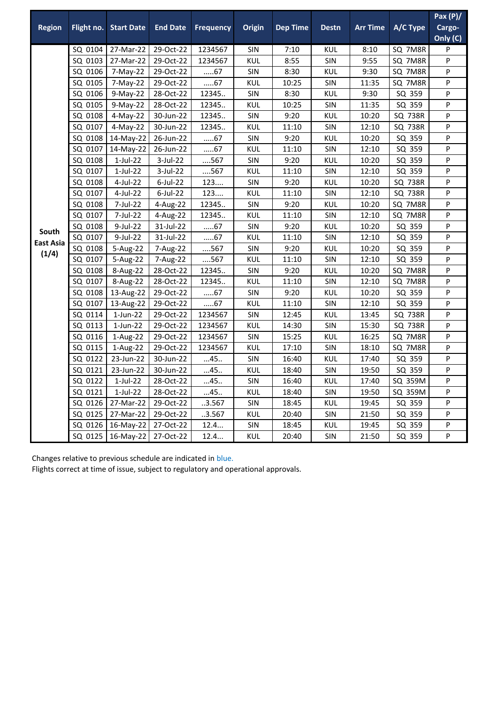|                           |            |                   |                 |                  |            |                 |              |                 |                | Pax $(P)/$ |
|---------------------------|------------|-------------------|-----------------|------------------|------------|-----------------|--------------|-----------------|----------------|------------|
| <b>Region</b>             | Flight no. | <b>Start Date</b> | <b>End Date</b> | <b>Frequency</b> | Origin     | <b>Dep Time</b> | <b>Destn</b> | <b>Arr Time</b> | A/C Type       | Cargo-     |
|                           |            |                   |                 |                  |            |                 |              |                 |                | Only (C)   |
|                           | SQ 0104    | 27-Mar-22         | 29-Oct-22       | 1234567          | <b>SIN</b> | 7:10            | <b>KUL</b>   | 8:10            | SQ 7M8R        | P          |
|                           | SQ 0103    | 27-Mar-22         | 29-Oct-22       | 1234567          | <b>KUL</b> | 8:55            | <b>SIN</b>   | 9:55            | SQ 7M8R        | P          |
|                           | SQ 0106    | 7-May-22          | 29-Oct-22       | 67               | SIN        | 8:30            | KUL          | 9:30            | SQ 7M8R        | P          |
|                           | SQ 0105    | 7-May-22          | 29-Oct-22       | 67               | <b>KUL</b> | 10:25           | <b>SIN</b>   | 11:35           | SQ 7M8R        | P          |
|                           | SQ 0106    | 9-May-22          | 28-Oct-22       | 12345            | SIN        | 8:30            | <b>KUL</b>   | 9:30            | SQ 359         | P          |
|                           | SQ 0105    | 9-May-22          | 28-Oct-22       | 12345            | <b>KUL</b> | 10:25           | <b>SIN</b>   | 11:35           | SQ 359         | P          |
|                           | SQ 0108    | $4-May-22$        | 30-Jun-22       | 12345            | <b>SIN</b> | 9:20            | <b>KUL</b>   | 10:20           | <b>SQ 738R</b> | P          |
|                           | SQ 0107    | 4-May-22          | 30-Jun-22       | 12345            | KUL        | 11:10           | <b>SIN</b>   | 12:10           | <b>SQ 738R</b> | P          |
|                           | SQ 0108    | 14-May-22         | 26-Jun-22       | $67$             | <b>SIN</b> | 9:20            | <b>KUL</b>   | 10:20           | SQ 359         | P          |
|                           | SQ 0107    | 14-May-22         | 26-Jun-22       | 67               | <b>KUL</b> | 11:10           | <b>SIN</b>   | 12:10           | SQ 359         | P          |
|                           | SQ 0108    | $1$ -Jul-22       | 3-Jul-22        | 567              | SIN        | 9:20            | <b>KUL</b>   | 10:20           | SQ 359         | P          |
|                           | SQ 0107    | $1$ -Jul-22       | 3-Jul-22        | 567              | KUL        | 11:10           | <b>SIN</b>   | 12:10           | SQ 359         | P          |
|                           | SQ 0108    | 4-Jul-22          | $6$ -Jul-22     | 123              | <b>SIN</b> | 9:20            | <b>KUL</b>   | 10:20           | SQ 738R        | P          |
|                           | SQ 0107    | 4-Jul-22          | $6$ -Jul-22     | 123              | <b>KUL</b> | 11:10           | <b>SIN</b>   | 12:10           | <b>SQ 738R</b> | P          |
|                           | SQ 0108    | 7-Jul-22          | 4-Aug-22        | 12345            | SIN        | 9:20            | <b>KUL</b>   | 10:20           | SQ 7M8R        | P          |
|                           | SQ 0107    | 7-Jul-22          | 4-Aug-22        | 12345            | KUL        | 11:10           | <b>SIN</b>   | 12:10           | SQ 7M8R        | P          |
|                           | SQ 0108    | 9-Jul-22          | 31-Jul-22       | 67               | SIN        | 9:20            | <b>KUL</b>   | 10:20           | SQ 359         | P          |
| South<br><b>East Asia</b> | SQ 0107    | 9-Jul-22          | 31-Jul-22       | 67               | <b>KUL</b> | 11:10           | <b>SIN</b>   | 12:10           | SQ 359         | P          |
| (1/4)                     | SQ 0108    | 5-Aug-22          | 7-Aug-22        | 567              | SIN        | 9:20            | <b>KUL</b>   | 10:20           | SQ 359         | P          |
|                           | SQ 0107    | 5-Aug-22          | 7-Aug-22        | 567              | KUL        | 11:10           | SIN          | 12:10           | SQ 359         | P          |
|                           | SQ 0108    | 8-Aug-22          | 28-Oct-22       | 12345            | SIN        | 9:20            | <b>KUL</b>   | 10:20           | SQ 7M8R        | P          |
|                           | SQ 0107    | 8-Aug-22          | 28-Oct-22       | 12345            | <b>KUL</b> | 11:10           | <b>SIN</b>   | 12:10           | SQ 7M8R        | P          |
|                           | SQ 0108    | 13-Aug-22         | 29-Oct-22       | 67               | SIN        | 9:20            | <b>KUL</b>   | 10:20           | SQ 359         | P          |
|                           | SQ 0107    | 13-Aug-22         | 29-Oct-22       | 67               | <b>KUL</b> | 11:10           | SIN          | 12:10           | SQ 359         | P          |
|                           | SQ 0114    | 1-Jun-22          | 29-Oct-22       | 1234567          | <b>SIN</b> | 12:45           | <b>KUL</b>   | 13:45           | <b>SQ 738R</b> | P          |
|                           | SQ 0113    | $1$ -Jun-22       | 29-Oct-22       | 1234567          | <b>KUL</b> | 14:30           | SIN          | 15:30           | <b>SQ 738R</b> | P          |
|                           | SQ 0116    | 1-Aug-22          | 29-Oct-22       | 1234567          | SIN        | 15:25           | <b>KUL</b>   | 16:25           | SQ 7M8R        | P          |
|                           | SQ 0115    | 1-Aug-22          | 29-Oct-22       | 1234567          | <b>KUL</b> | 17:10           | <b>SIN</b>   | 18:10           | SQ 7M8R        | P          |
|                           | SQ 0122    | 23-Jun-22         | 30-Jun-22       | 45.              | <b>SIN</b> | 16:40           | KUL          | 17:40           | SQ 359         | P          |
|                           | SQ 0121    | 23-Jun-22         | 30-Jun-22       | 45.              | <b>KUL</b> | 18:40           | <b>SIN</b>   | 19:50           | SQ 359         | P          |
|                           | SQ 0122    | $1-Jul-22$        | 28-Oct-22       | 45.              | SIN        | 16:40           | <b>KUL</b>   | 17:40           | SQ 359M        | P          |
|                           | SQ 0121    | $1$ -Jul-22       | 28-Oct-22       | 45.              | <b>KUL</b> | 18:40           | SIN          | 19:50           | SQ 359M        | P          |
|                           | SQ 0126    | 27-Mar-22         | 29-Oct-22       | .3.567           | SIN        | 18:45           | <b>KUL</b>   | 19:45           | SQ 359         | P          |
|                           | SQ 0125    | 27-Mar-22         | 29-Oct-22       | .3.567           | KUL        | 20:40           | <b>SIN</b>   | 21:50           | SQ 359         | P          |
|                           | SQ 0126    | 16-May-22         | 27-Oct-22       | 12.4             | SIN        | 18:45           | <b>KUL</b>   | 19:45           | SQ 359         | P          |
|                           | SQ 0125    | 16-May-22         | 27-Oct-22       | 12.4             | <b>KUL</b> | 20:40           | <b>SIN</b>   | 21:50           | SQ 359         | P          |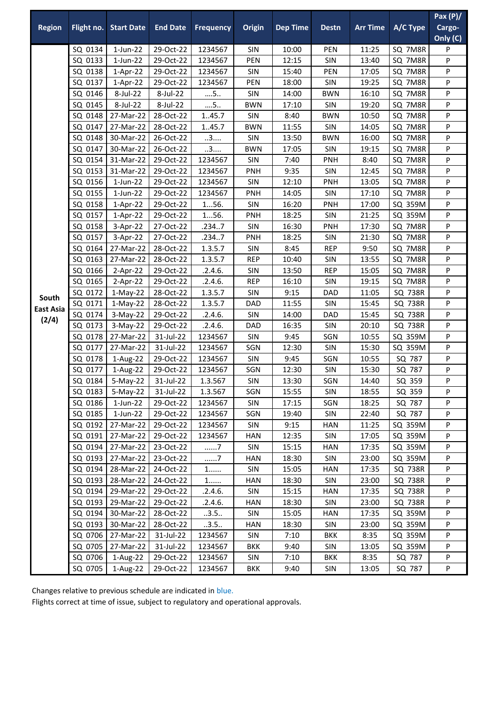|                  |                    |                          |                        |                    |               |                 |              |                 |                    | Pax $(P)/$ |
|------------------|--------------------|--------------------------|------------------------|--------------------|---------------|-----------------|--------------|-----------------|--------------------|------------|
| <b>Region</b>    | Flight no.         | <b>Start Date</b>        | <b>End Date</b>        | <b>Frequency</b>   | <b>Origin</b> | <b>Dep Time</b> | <b>Destn</b> | <b>Arr Time</b> | A/C Type           | Cargo-     |
|                  |                    |                          |                        |                    |               |                 |              |                 |                    | Only (C)   |
|                  | SQ 0134            | $1$ -Jun-22              | 29-Oct-22              | 1234567            | SIN           | 10:00           | PEN          | 11:25           | SQ 7M8R            | P          |
|                  | SQ 0133            | $1$ -Jun-22              | 29-Oct-22              | 1234567            | PEN           | 12:15           | SIN          | 13:40           | SQ 7M8R            | P          |
|                  | SQ 0138            | 1-Apr-22                 | 29-Oct-22              | 1234567            | SIN           | 15:40           | PEN          | 17:05           | SQ 7M8R            | P          |
|                  | SQ 0137            | $1-Apr-22$               | 29-Oct-22              | 1234567            | PEN           | 18:00           | SIN          | 19:25           | SQ 7M8R            | P          |
|                  | SQ 0146            | 8-Jul-22                 | 8-Jul-22               | $\dots$ 5          | SIN           | 14:00           | <b>BWN</b>   | 16:10           | SQ 7M8R            | P          |
|                  | SQ 0145            | 8-Jul-22                 | 8-Jul-22               | $\dots$ 5          | <b>BWN</b>    | 17:10           | SIN          | 19:20           | SQ 7M8R            | P          |
|                  | SQ 0148            | 27-Mar-22                | 28-Oct-22              | 1.45.7             | SIN           | 8:40            | <b>BWN</b>   | 10:50           | SQ 7M8R            | P          |
|                  | SQ 0147            | 27-Mar-22                | 28-Oct-22              | 1.45.7             | <b>BWN</b>    | 11:55           | SIN          | 14:05           | SQ 7M8R            | P          |
|                  | SQ 0148            | 30-Mar-22                | 26-Oct-22              | 3                  | SIN           | 13:50           | <b>BWN</b>   | 16:00           | SQ 7M8R            | P          |
|                  | SQ 0147            | 30-Mar-22                | 26-Oct-22              | 3                  | <b>BWN</b>    | 17:05           | SIN          | 19:15           | SQ 7M8R            | P          |
|                  | SQ 0154            | 31-Mar-22                | 29-Oct-22              | 1234567            | <b>SIN</b>    | 7:40            | <b>PNH</b>   | 8:40            | SQ 7M8R            | P          |
|                  | SQ 0153            | 31-Mar-22                | 29-Oct-22              | 1234567            | <b>PNH</b>    | 9:35            | SIN          | 12:45           | SQ 7M8R            | P          |
|                  | SQ 0156            | $1$ -Jun-22              | 29-Oct-22              | 1234567            | SIN           | 12:10           | PNH          | 13:05           | SQ 7M8R            | P          |
|                  | SQ 0155            | $1$ -Jun-22              | 29-Oct-22              | 1234567            | <b>PNH</b>    | 14:05           | SIN          | 17:10           | SQ 7M8R            | P          |
|                  | SQ 0158            | 1-Apr-22                 | 29-Oct-22              | 156.               | SIN           | 16:20           | PNH          | 17:00           | SQ 359M            | P          |
|                  | SQ 0157            | $1-Apr-22$               | 29-Oct-22              | 156.               | <b>PNH</b>    | 18:25           | SIN          | 21:25           | SQ 359M            | P          |
|                  | SQ 0158            | 3-Apr-22                 | 27-Oct-22              | .2347              | SIN           | 16:30           | PNH          | 17:30           | SQ 7M8R            | P          |
|                  | SQ 0157            | 3-Apr-22                 | 27-Oct-22              | .2347              | PNH           | 18:25           | SIN          | 21:30           | SQ 7M8R            | P          |
|                  | SQ 0164            | 27-Mar-22                | 28-Oct-22              | 1.3.5.7            | SIN           | 8:45            | <b>REP</b>   | 9:50            | SQ 7M8R            | P          |
|                  | SQ 0163            | 27-Mar-22                | 28-Oct-22              | 1.3.5.7            | <b>REP</b>    | 10:40           | SIN          | 13:55           | SQ 7M8R            | P          |
|                  | SQ 0166            | $2-Apr-22$               | 29-Oct-22              | .2.4.6.            | <b>SIN</b>    | 13:50           | <b>REP</b>   | 15:05           | SQ 7M8R            | P          |
|                  | SQ 0165            | $2-Apr-22$               | 29-Oct-22              | .2.4.6.            | <b>REP</b>    | 16:10           | SIN          | 19:15           | SQ 7M8R            | P          |
| South            | SQ 0172<br>SQ 0171 | $1-May-22$               | 28-Oct-22              | 1.3.5.7            | SIN           | 9:15            | DAD          | 11:05           | SQ 738R            | P          |
| <b>East Asia</b> | SQ 0174            | $1-May-22$               | 28-Oct-22<br>29-Oct-22 | 1.3.5.7<br>.2.4.6. | DAD<br>SIN    | 11:55<br>14:00  | SIN<br>DAD   | 15:45<br>15:45  | SQ 738R<br>SQ 738R | P<br>P     |
| (2/4)            | SQ 0173            | $3-May-22$<br>$3-May-22$ | 29-Oct-22              | .2.4.6.            | DAD           | 16:35           | SIN          | 20:10           | SQ 738R            | P          |
|                  | SQ 0178            | 27-Mar-22                | 31-Jul-22              | 1234567            | SIN           | 9:45            | SGN          | 10:55           | SQ 359M            | P          |
|                  | SQ 0177            | 27-Mar-22                | 31-Jul-22              | 1234567            | SGN           | 12:30           | SIN          | 15:30           | SQ 359M            | P          |
|                  | SQ 0178            | 1-Aug-22                 | 29-Oct-22              | 1234567            | SIN           | 9:45            | SGN          | 10:55           | SQ 787             | P          |
|                  | SQ 0177            | 1-Aug-22                 | 29-Oct-22              | 1234567            | SGN           | 12:30           | SIN          | 15:30           | SQ 787             | P          |
|                  | SQ 0184            | $5-May-22$               | 31-Jul-22              | 1.3.567            | SIN           | 13:30           | SGN          | 14:40           | SQ 359             | P          |
|                  | SQ 0183            | 5-May-22                 | 31-Jul-22              | 1.3.567            | SGN           | 15:55           | <b>SIN</b>   | 18:55           | SQ 359             | P          |
|                  | SQ 0186            | $1$ -Jun-22              | 29-Oct-22              | 1234567            | SIN           | 17:15           | SGN          | 18:25           | SQ 787             | P          |
|                  | SQ 0185            | $1$ -Jun-22              | 29-Oct-22              | 1234567            | SGN           | 19:40           | <b>SIN</b>   | 22:40           | SQ 787             | P          |
|                  | SQ 0192            | 27-Mar-22                | 29-Oct-22              | 1234567            | SIN           | 9:15            | <b>HAN</b>   | 11:25           | SQ 359M            | P          |
|                  | SQ 0191            | 27-Mar-22                | 29-Oct-22              | 1234567            | <b>HAN</b>    | 12:35           | <b>SIN</b>   | 17:05           | SQ 359M            | P          |
|                  | SQ 0194            | 27-Mar-22                | 23-Oct-22              | 7                  | SIN           | 15:15           | <b>HAN</b>   | 17:35           | SQ 359M            | P          |
|                  | SQ 0193            | 27-Mar-22                | 23-Oct-22              | 7                  | <b>HAN</b>    | 18:30           | <b>SIN</b>   | 23:00           | SQ 359M            | P          |
|                  | SQ 0194            | 28-Mar-22                | 24-Oct-22              | 1.                 | SIN           | 15:05           | <b>HAN</b>   | 17:35           | SQ 738R            | P          |
|                  | SQ 0193            | 28-Mar-22                | 24-Oct-22              | $1$                | <b>HAN</b>    | 18:30           | SIN          | 23:00           | SQ 738R            | P          |
|                  | SQ 0194            | 29-Mar-22                | 29-Oct-22              | .2.4.6.            | SIN           | 15:15           | <b>HAN</b>   | 17:35           | SQ 738R            | P          |
|                  | SQ 0193            | 29-Mar-22                | 29-Oct-22              | .2.4.6.            | <b>HAN</b>    | 18:30           | SIN          | 23:00           | SQ 738R            | P          |
|                  | SQ 0194            | 30-Mar-22                | 28-Oct-22              | .3.5.              | <b>SIN</b>    | 15:05           | HAN          | 17:35           | SQ 359M            | P          |
|                  | SQ 0193            | 30-Mar-22                | 28-Oct-22              | .3.5.              | <b>HAN</b>    | 18:30           | SIN          | 23:00           | SQ 359M            | P          |
|                  |                    | SQ 0706 27-Mar-22        | 31-Jul-22              | 1234567            | SIN           | 7:10            | <b>BKK</b>   | 8:35            | SQ 359M            | P          |
|                  |                    | SQ 0705 27-Mar-22        | 31-Jul-22              | 1234567            | BKK           | 9:40            | <b>SIN</b>   | 13:05           | SQ 359M            | P          |
|                  | SQ 0706            | 1-Aug-22                 | 29-Oct-22              | 1234567            | SIN           | 7:10            | <b>BKK</b>   | 8:35            | SQ 787             | P          |
|                  | SQ 0705            | 1-Aug-22                 | 29-Oct-22              | 1234567            | <b>BKK</b>    | 9:40            | <b>SIN</b>   | 13:05           | SQ 787             | P          |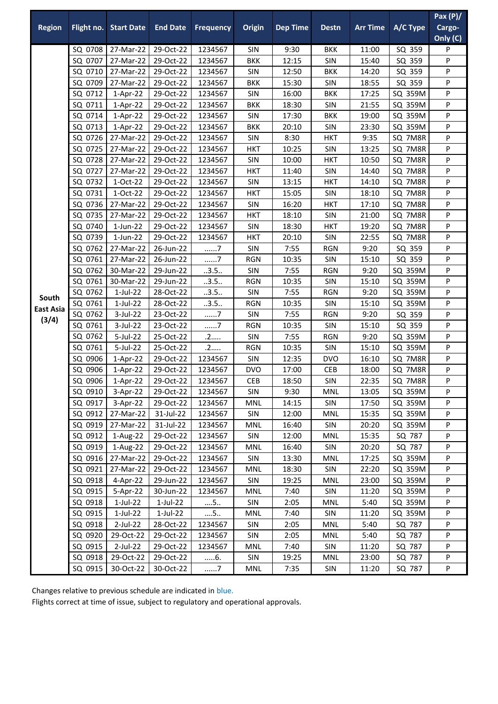|                  |                    |                                |                        |                    |                   |                 |                   |                 |                    | Pax $(P)/$ |
|------------------|--------------------|--------------------------------|------------------------|--------------------|-------------------|-----------------|-------------------|-----------------|--------------------|------------|
| <b>Region</b>    | Flight no.         | <b>Start Date</b>              | <b>End Date</b>        | <b>Frequency</b>   | <b>Origin</b>     | <b>Dep Time</b> | <b>Destn</b>      | <b>Arr Time</b> | A/C Type           | Cargo-     |
|                  |                    |                                |                        |                    |                   |                 |                   |                 |                    | Only (C)   |
|                  |                    | SQ 0708 27-Mar-22              | 29-Oct-22              | 1234567            | SIN               | 9:30            | <b>BKK</b>        | 11:00           | SQ 359             | P          |
|                  | SQ 0707            | 27-Mar-22                      | 29-Oct-22              | 1234567            | <b>BKK</b>        | 12:15           | SIN               | 15:40           | SQ 359             | P          |
|                  | SQ 0710            | 27-Mar-22                      | 29-Oct-22              | 1234567            | SIN               | 12:50           | <b>BKK</b>        | 14:20           | SQ 359             | P          |
|                  | SQ 0709            | 27-Mar-22                      | 29-Oct-22              | 1234567            | <b>BKK</b>        | 15:30           | SIN               | 18:55           | SQ 359             | P          |
|                  | SQ 0712            | 1-Apr-22                       | 29-Oct-22              | 1234567            | SIN               | 16:00           | <b>BKK</b>        | 17:25           | SQ 359M            | P          |
|                  | SQ 0711            | $1-Apr-22$                     | 29-Oct-22              | 1234567            | <b>BKK</b>        | 18:30           | SIN               | 21:55           | SQ 359M            | P          |
|                  | SQ 0714            | $1-Apr-22$                     | 29-Oct-22              | 1234567            | SIN               | 17:30           | <b>BKK</b>        | 19:00           | SQ 359M            | P          |
|                  | SQ 0713            | $1-Apr-22$                     | 29-Oct-22              | 1234567            | <b>BKK</b>        | 20:10           | SIN               | 23:30           | SQ 359M            | P          |
|                  | SQ 0726            | 27-Mar-22                      | 29-Oct-22              | 1234567            | SIN               | 8:30            | <b>HKT</b>        | 9:35            | SQ 7M8R            | P          |
|                  | SQ 0725            | 27-Mar-22                      | 29-Oct-22              | 1234567            | <b>HKT</b>        | 10:25           | SIN               | 13:25           | SQ 7M8R            | P          |
|                  | SQ 0728            | 27-Mar-22                      | 29-Oct-22              | 1234567            | <b>SIN</b>        | 10:00           | <b>HKT</b>        | 10:50           | SQ 7M8R            | P          |
|                  | SQ 0727            | 27-Mar-22                      | 29-Oct-22              | 1234567            | HKT               | 11:40           | SIN               | 14:40           | SQ 7M8R            | P          |
|                  | SQ 0732            | 1-Oct-22                       | 29-Oct-22              | 1234567            | SIN               | 13:15           | <b>HKT</b>        | 14:10           | SQ 7M8R            | P          |
|                  | SQ 0731            | 1-Oct-22                       | 29-Oct-22              | 1234567            | <b>HKT</b>        | 15:05           | SIN               | 18:10           | SQ 7M8R            | P          |
|                  | SQ 0736            | 27-Mar-22                      | 29-Oct-22              | 1234567            | SIN               | 16:20           | <b>HKT</b>        | 17:10           | SQ 7M8R            | P          |
|                  | SQ 0735            | 27-Mar-22                      | 29-Oct-22              | 1234567            | <b>HKT</b>        | 18:10           | SIN               | 21:00           | SQ 7M8R            | P          |
|                  | SQ 0740            | $1$ -Jun-22                    | 29-Oct-22              | 1234567            | SIN               | 18:30           | <b>HKT</b>        | 19:20           | SQ 7M8R            | P          |
|                  | SQ 0739            | $1$ -Jun-22                    | 29-Oct-22              | 1234567            | <b>HKT</b>        | 20:10           | SIN               | 22:55           | SQ 7M8R            | P          |
|                  | SQ 0762            | 27-Mar-22                      | 26-Jun-22              | . 7                | SIN               | 7:55            | <b>RGN</b>        | 9:20            | SQ 359             | P          |
|                  | SQ 0761            | 27-Mar-22                      | 26-Jun-22              | 7                  | <b>RGN</b>        | 10:35           | SIN               | 15:10           | SQ 359             | P          |
|                  | SQ 0762            | 30-Mar-22                      | 29-Jun-22              | 3.5                | SIN               | 7:55            | <b>RGN</b>        | 9:20            | SQ 359M            | P          |
|                  | SQ 0761            | 30-Mar-22                      | 29-Jun-22              | 3.5                | <b>RGN</b>        | 10:35           | SIN               | 15:10           | SQ 359M            | P          |
| South            | SQ 0762            | $1$ -Jul-22                    | 28-Oct-22              | 3.5                | SIN               | 7:55            | <b>RGN</b>        | 9:20            | SQ 359M            | P          |
| <b>East Asia</b> | SQ 0761            | $1$ -Jul-22<br>3-Jul-22        | 28-Oct-22              | .3.5.              | <b>RGN</b><br>SIN | 10:35<br>7:55   | SIN               | 15:10           | SQ 359M            | P          |
| (3/4)            | SQ 0762<br>SQ 0761 | 3-Jul-22                       | 23-Oct-22              | 7<br>7             |                   | 10:35           | <b>RGN</b><br>SIN | 9:20            | SQ 359             | P          |
|                  |                    |                                | 23-Oct-22              |                    | <b>RGN</b>        |                 |                   | 15:10           | SQ 359             | P          |
|                  | SQ 0762            | 5-Jul-22                       | 25-Oct-22              | .2                 | SIN               | 7:55            | <b>RGN</b>        | 9:20            | SQ 359M            | P          |
|                  | SQ 0761            | 5-Jul-22                       | 25-Oct-22              | .2<br>1234567      | <b>RGN</b>        | 10:35           | SIN               | 15:10           | SQ 359M            | P          |
|                  | SQ 0906            | $1-Apr-22$                     | 29-Oct-22              |                    | SIN               | 12:35           | <b>DVO</b>        | 16:10           | SQ 7M8R            | P          |
|                  | SQ 0906<br>SQ 0906 | $1-Apr-22$                     | 29-Oct-22              | 1234567            | <b>DVO</b>        | 17:00           | <b>CEB</b><br>SIN | 18:00           | SQ 7M8R            | P<br>P     |
|                  |                    | $1-Apr-22$                     | 29-Oct-22              | 1234567            | <b>CEB</b>        | 18:50           |                   | 22:35           | SQ 7M8R            |            |
|                  | SQ 0910            | 3-Apr-22                       | 29-Oct-22              | 1234567            | <b>SIN</b>        | 9:30            | <b>MNL</b>        | 13:05           | SQ 359M            | P          |
|                  | SQ 0917<br>SQ 0912 | 3-Apr-22                       | 29-Oct-22<br>31-Jul-22 | 1234567            | <b>MNL</b>        | 14:15           | SIN<br>MNL        | 17:50<br>15:35  | SQ 359M<br>SQ 359M | P<br>P     |
|                  |                    | 27-Mar-22<br>SQ 0919 27-Mar-22 | 31-Jul-22              | 1234567<br>1234567 | <b>SIN</b><br>MNL | 12:00<br>16:40  | <b>SIN</b>        | 20:20           | SQ 359M            | P          |
|                  | SQ 0912            | 1-Aug-22                       | 29-Oct-22              | 1234567            | SIN               | 12:00           | <b>MNL</b>        | 15:35           | SQ 787             | P          |
|                  | SQ 0919            | 1-Aug-22                       | 29-Oct-22              | 1234567            | MNL               | 16:40           | SIN               | 20:20           | SQ 787             | P          |
|                  | SQ 0916            | 27-Mar-22                      | 29-Oct-22              | 1234567            | <b>SIN</b>        | 13:30           | MNL               | 17:25           | SQ 359M            | P          |
|                  | SQ 0921            | 27-Mar-22                      | 29-Oct-22              | 1234567            | MNL               | 18:30           | <b>SIN</b>        | 22:20           | SQ 359M            | P          |
|                  | SQ 0918            | 4-Apr-22                       | 29-Jun-22              | 1234567            | SIN               | 19:25           | MNL               | 23:00           | SQ 359M            | P          |
|                  | SQ 0915            | 5-Apr-22                       | 30-Jun-22              | 1234567            | <b>MNL</b>        | 7:40            | <b>SIN</b>        | 11:20           | SQ 359M            | P          |
|                  | SQ 0918            | $1$ -Jul-22                    | 1-Jul-22               | 5                  | SIN               | 2:05            | <b>MNL</b>        | 5:40            | SQ 359M            | P          |
|                  | SQ 0915            | $1$ -Jul-22                    | $1$ -Jul-22            | $\dots$ 5          | MNL               | 7:40            | SIN               | 11:20           | SQ 359M            | P          |
|                  | SQ 0918            | 2-Jul-22                       | 28-Oct-22              | 1234567            | <b>SIN</b>        | 2:05            | <b>MNL</b>        | 5:40            | SQ 787             | P          |
|                  | SQ 0920            | 29-Oct-22                      | 29-Oct-22              | 1234567            | SIN               | 2:05            | <b>MNL</b>        | 5:40            | SQ 787             | P          |
|                  | SQ 0915            | 2-Jul-22                       | 29-Oct-22              | 1234567            | MNL               | 7:40            | SIN               | 11:20           | SQ 787             | P          |
|                  | SQ 0918            | 29-Oct-22                      | 29-Oct-22              | 6.                 | SIN               | 19:25           | MNL               | 23:00           | SQ 787             | P          |
|                  | SQ 0915            | 30-Oct-22                      | 30-Oct-22              | 7                  | <b>MNL</b>        | 7:35            | <b>SIN</b>        | 11:20           | SQ 787             | P          |
|                  |                    |                                |                        |                    |                   |                 |                   |                 |                    |            |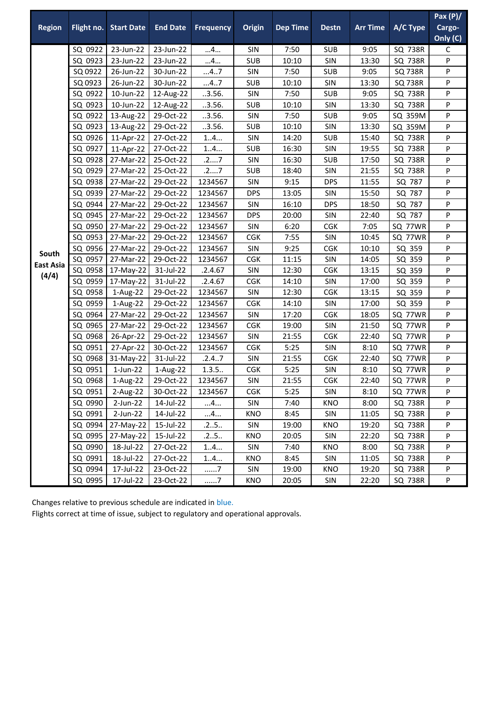| <b>Region</b>    | Flight no.<br>SQ 0922<br>SQ 0923<br>SQ 0922<br>SQ 0923<br>SQ 0922<br>SQ 0923<br>SQ 0922<br>SQ 0923<br>SQ 0926<br>SQ 0927<br>SQ 0929<br>SQ 0938<br>SQ 0939 | <b>Start Date</b><br>23-Jun-22<br>23-Jun-22<br>26-Jun-22<br>26-Jun-22<br>10-Jun-22<br>10-Jun-22<br>13-Aug-22<br>13-Aug-22<br>11-Apr-22<br>11-Apr-22<br>SQ 0928 27-Mar-22<br>27-Mar-22<br>27-Mar-22 | <b>End Date</b><br>23-Jun-22<br>23-Jun-22<br>30-Jun-22<br>30-Jun-22<br>12-Aug-22<br>12-Aug-22<br>29-Oct-22<br>29-Oct-22<br>27-Oct-22<br>27-Oct-22<br>25-Oct-22<br>25-Oct-22 | <b>Frequency</b><br>4<br>4<br>47<br>47<br>.3.56.<br>.3.56.<br>.3.56.<br>.3.56.<br>14<br>14<br>.27 | Origin<br>SIN<br><b>SUB</b><br>SIN<br><b>SUB</b><br>SIN<br><b>SUB</b><br>SIN<br><b>SUB</b><br>SIN<br><b>SUB</b> | <b>Dep Time</b><br>7:50<br>10:10<br>7:50<br>10:10<br>7:50<br>10:10<br>7:50<br>10:10<br>14:20<br>16:30 | <b>Destn</b><br><b>SUB</b><br>SIN<br><b>SUB</b><br>SIN<br><b>SUB</b><br>SIN<br><b>SUB</b><br>SIN<br><b>SUB</b> | <b>Arr Time</b><br>9:05<br>13:30<br>9:05<br>13:30<br>9:05<br>13:30<br>9:05<br>13:30<br>15:40 | A/C Type<br>SQ 738R<br>SQ 738R<br><b>SQ 738R</b><br><b>SQ 738R</b><br>SQ 738R<br>SQ 738R<br>SQ 359M<br>SQ 359M<br>SQ 738R | Cargo-<br>Only (C)<br>C<br>P<br>P<br>P<br>P<br>P<br>P<br>P<br>P |
|------------------|-----------------------------------------------------------------------------------------------------------------------------------------------------------|----------------------------------------------------------------------------------------------------------------------------------------------------------------------------------------------------|-----------------------------------------------------------------------------------------------------------------------------------------------------------------------------|---------------------------------------------------------------------------------------------------|-----------------------------------------------------------------------------------------------------------------|-------------------------------------------------------------------------------------------------------|----------------------------------------------------------------------------------------------------------------|----------------------------------------------------------------------------------------------|---------------------------------------------------------------------------------------------------------------------------|-----------------------------------------------------------------|
|                  |                                                                                                                                                           |                                                                                                                                                                                                    |                                                                                                                                                                             |                                                                                                   |                                                                                                                 |                                                                                                       |                                                                                                                |                                                                                              |                                                                                                                           |                                                                 |
|                  |                                                                                                                                                           |                                                                                                                                                                                                    |                                                                                                                                                                             |                                                                                                   |                                                                                                                 |                                                                                                       |                                                                                                                |                                                                                              |                                                                                                                           |                                                                 |
|                  |                                                                                                                                                           |                                                                                                                                                                                                    |                                                                                                                                                                             |                                                                                                   |                                                                                                                 |                                                                                                       |                                                                                                                |                                                                                              |                                                                                                                           |                                                                 |
|                  |                                                                                                                                                           |                                                                                                                                                                                                    |                                                                                                                                                                             |                                                                                                   |                                                                                                                 |                                                                                                       |                                                                                                                |                                                                                              |                                                                                                                           |                                                                 |
|                  |                                                                                                                                                           |                                                                                                                                                                                                    |                                                                                                                                                                             |                                                                                                   |                                                                                                                 |                                                                                                       |                                                                                                                |                                                                                              |                                                                                                                           |                                                                 |
|                  |                                                                                                                                                           |                                                                                                                                                                                                    |                                                                                                                                                                             |                                                                                                   |                                                                                                                 |                                                                                                       |                                                                                                                |                                                                                              |                                                                                                                           |                                                                 |
|                  |                                                                                                                                                           |                                                                                                                                                                                                    |                                                                                                                                                                             |                                                                                                   |                                                                                                                 |                                                                                                       |                                                                                                                |                                                                                              |                                                                                                                           |                                                                 |
|                  |                                                                                                                                                           |                                                                                                                                                                                                    |                                                                                                                                                                             |                                                                                                   |                                                                                                                 |                                                                                                       |                                                                                                                |                                                                                              |                                                                                                                           |                                                                 |
|                  |                                                                                                                                                           |                                                                                                                                                                                                    |                                                                                                                                                                             |                                                                                                   |                                                                                                                 |                                                                                                       |                                                                                                                |                                                                                              |                                                                                                                           |                                                                 |
|                  |                                                                                                                                                           |                                                                                                                                                                                                    |                                                                                                                                                                             |                                                                                                   |                                                                                                                 |                                                                                                       |                                                                                                                |                                                                                              |                                                                                                                           |                                                                 |
|                  |                                                                                                                                                           |                                                                                                                                                                                                    |                                                                                                                                                                             |                                                                                                   |                                                                                                                 |                                                                                                       |                                                                                                                |                                                                                              |                                                                                                                           |                                                                 |
|                  |                                                                                                                                                           |                                                                                                                                                                                                    |                                                                                                                                                                             |                                                                                                   |                                                                                                                 |                                                                                                       | SIN                                                                                                            | 19:55                                                                                        | SQ 738R                                                                                                                   | P                                                               |
|                  |                                                                                                                                                           |                                                                                                                                                                                                    |                                                                                                                                                                             |                                                                                                   | SIN                                                                                                             | 16:30                                                                                                 | <b>SUB</b>                                                                                                     | 17:50                                                                                        | SQ 738R                                                                                                                   | P                                                               |
|                  |                                                                                                                                                           |                                                                                                                                                                                                    |                                                                                                                                                                             | .27                                                                                               | <b>SUB</b>                                                                                                      | 18:40                                                                                                 | SIN                                                                                                            | 21:55                                                                                        | SQ 738R                                                                                                                   | P                                                               |
|                  |                                                                                                                                                           |                                                                                                                                                                                                    | 29-Oct-22                                                                                                                                                                   | 1234567                                                                                           | SIN                                                                                                             | 9:15                                                                                                  | <b>DPS</b>                                                                                                     | 11:55                                                                                        | SQ 787                                                                                                                    | P                                                               |
|                  |                                                                                                                                                           | 27-Mar-22                                                                                                                                                                                          | 29-Oct-22                                                                                                                                                                   | 1234567                                                                                           | <b>DPS</b>                                                                                                      | 13:05                                                                                                 | SIN                                                                                                            | 15:50                                                                                        | SQ 787                                                                                                                    | P                                                               |
| SQ 0944          |                                                                                                                                                           | 27-Mar-22                                                                                                                                                                                          | 29-Oct-22                                                                                                                                                                   | 1234567                                                                                           | SIN                                                                                                             | 16:10                                                                                                 | <b>DPS</b>                                                                                                     | 18:50                                                                                        | SQ 787                                                                                                                    | P                                                               |
|                  |                                                                                                                                                           | SQ 0945 27-Mar-22                                                                                                                                                                                  | 29-Oct-22                                                                                                                                                                   | 1234567                                                                                           | <b>DPS</b>                                                                                                      | 20:00                                                                                                 | SIN                                                                                                            | 22:40                                                                                        | SQ 787                                                                                                                    | P                                                               |
|                  | SQ 0950                                                                                                                                                   | 27-Mar-22                                                                                                                                                                                          | 29-Oct-22                                                                                                                                                                   | 1234567                                                                                           | SIN                                                                                                             | 6:20                                                                                                  | CGK                                                                                                            | 7:05                                                                                         | SQ 77WR                                                                                                                   | P                                                               |
|                  | SQ 0953                                                                                                                                                   | 27-Mar-22                                                                                                                                                                                          | 29-Oct-22                                                                                                                                                                   | 1234567                                                                                           | <b>CGK</b>                                                                                                      | 7:55                                                                                                  | SIN                                                                                                            | 10:45                                                                                        | SQ 77WR                                                                                                                   | P                                                               |
|                  | SQ 0956                                                                                                                                                   | 27-Mar-22                                                                                                                                                                                          | 29-Oct-22                                                                                                                                                                   | 1234567                                                                                           | SIN                                                                                                             | 9:25                                                                                                  | CGK                                                                                                            | 10:10                                                                                        | SQ 359                                                                                                                    | P                                                               |
| South            | SQ 0957                                                                                                                                                   | 27-Mar-22                                                                                                                                                                                          | 29-Oct-22                                                                                                                                                                   | 1234567                                                                                           | <b>CGK</b>                                                                                                      | 11:15                                                                                                 | SIN                                                                                                            | 14:05                                                                                        | SQ 359                                                                                                                    | P                                                               |
| <b>East Asia</b> |                                                                                                                                                           | SQ 0958 17-May-22                                                                                                                                                                                  | 31-Jul-22                                                                                                                                                                   | .2.4.67                                                                                           | SIN                                                                                                             | 12:30                                                                                                 | <b>CGK</b>                                                                                                     | 13:15                                                                                        | SQ 359                                                                                                                    | P                                                               |
| (4/4)            |                                                                                                                                                           | SQ 0959 17-May-22                                                                                                                                                                                  | 31-Jul-22                                                                                                                                                                   | .2.4.67                                                                                           | <b>CGK</b>                                                                                                      | 14:10                                                                                                 | SIN                                                                                                            | 17:00                                                                                        | SQ 359                                                                                                                    | P                                                               |
|                  | SQ 0958                                                                                                                                                   | 1-Aug-22                                                                                                                                                                                           | 29-Oct-22                                                                                                                                                                   | 1234567                                                                                           | SIN                                                                                                             | 12:30                                                                                                 | CGK                                                                                                            | 13:15                                                                                        | SQ 359                                                                                                                    | P                                                               |
|                  | SQ 0959                                                                                                                                                   | 1-Aug-22                                                                                                                                                                                           | 29-Oct-22                                                                                                                                                                   | 1234567                                                                                           | <b>CGK</b>                                                                                                      | 14:10                                                                                                 | SIN                                                                                                            | 17:00                                                                                        | SQ 359                                                                                                                    | P                                                               |
|                  |                                                                                                                                                           | SQ 0964 27-Mar-22                                                                                                                                                                                  | 29-Oct-22                                                                                                                                                                   | 1234567                                                                                           | SIN                                                                                                             | 17:20                                                                                                 | <b>CGK</b>                                                                                                     | 18:05                                                                                        | SQ 77WR                                                                                                                   | P                                                               |
|                  |                                                                                                                                                           | SQ 0965 27-Mar-22                                                                                                                                                                                  | 29-Oct-22                                                                                                                                                                   | 1234567                                                                                           | <b>CGK</b>                                                                                                      | 19:00                                                                                                 | SIN                                                                                                            | 21:50                                                                                        | SQ 77WR                                                                                                                   | P                                                               |
|                  | SQ 0968                                                                                                                                                   | 26-Apr-22                                                                                                                                                                                          | 29-Oct-22                                                                                                                                                                   | 1234567                                                                                           | SIN                                                                                                             | 21:55                                                                                                 | CGK                                                                                                            | 22:40                                                                                        | SQ 77WR                                                                                                                   | P                                                               |
|                  | SQ 0951                                                                                                                                                   | 27-Apr-22                                                                                                                                                                                          | 30-Oct-22                                                                                                                                                                   | 1234567                                                                                           | <b>CGK</b>                                                                                                      | 5:25                                                                                                  | SIN                                                                                                            | 8:10                                                                                         | SQ 77WR                                                                                                                   | P                                                               |
|                  |                                                                                                                                                           | SQ 0968 31-May-22                                                                                                                                                                                  | 31-Jul-22                                                                                                                                                                   | .2.4.7                                                                                            | SIN                                                                                                             | 21:55                                                                                                 | <b>CGK</b>                                                                                                     | 22:40                                                                                        | SQ 77WR                                                                                                                   | P                                                               |
|                  | SQ 0951                                                                                                                                                   | $1$ -Jun-22                                                                                                                                                                                        | 1-Aug-22                                                                                                                                                                    | 1.3.5                                                                                             | CGK                                                                                                             | 5:25                                                                                                  | SIN                                                                                                            | 8:10                                                                                         | SQ 77WR                                                                                                                   | P                                                               |
|                  |                                                                                                                                                           | SQ 0968 1-Aug-22                                                                                                                                                                                   | 29-Oct-22                                                                                                                                                                   | 1234567                                                                                           | SIN                                                                                                             | 21:55                                                                                                 | CGK                                                                                                            | 22:40                                                                                        | SQ 77WR                                                                                                                   | P                                                               |
|                  | SQ 0951                                                                                                                                                   | 2-Aug-22                                                                                                                                                                                           | 30-Oct-22                                                                                                                                                                   | 1234567                                                                                           | <b>CGK</b>                                                                                                      | 5:25                                                                                                  | <b>SIN</b>                                                                                                     | 8:10                                                                                         | SQ 77WR                                                                                                                   | P                                                               |
|                  |                                                                                                                                                           |                                                                                                                                                                                                    |                                                                                                                                                                             |                                                                                                   |                                                                                                                 |                                                                                                       |                                                                                                                |                                                                                              |                                                                                                                           | P                                                               |
|                  |                                                                                                                                                           |                                                                                                                                                                                                    |                                                                                                                                                                             |                                                                                                   |                                                                                                                 |                                                                                                       |                                                                                                                |                                                                                              |                                                                                                                           |                                                                 |
|                  |                                                                                                                                                           |                                                                                                                                                                                                    |                                                                                                                                                                             |                                                                                                   |                                                                                                                 |                                                                                                       |                                                                                                                |                                                                                              |                                                                                                                           |                                                                 |
|                  |                                                                                                                                                           |                                                                                                                                                                                                    |                                                                                                                                                                             |                                                                                                   |                                                                                                                 |                                                                                                       |                                                                                                                |                                                                                              |                                                                                                                           | P                                                               |
|                  |                                                                                                                                                           |                                                                                                                                                                                                    |                                                                                                                                                                             |                                                                                                   |                                                                                                                 |                                                                                                       |                                                                                                                |                                                                                              |                                                                                                                           |                                                                 |
|                  | SQ 0991                                                                                                                                                   | 18-Jul-22                                                                                                                                                                                          | 27-Oct-22                                                                                                                                                                   | 14                                                                                                | <b>KNO</b>                                                                                                      | 8:45                                                                                                  | <b>SIN</b>                                                                                                     | 11:05                                                                                        | SQ 738R                                                                                                                   | P                                                               |
|                  | SQ 0994                                                                                                                                                   | 17-Jul-22                                                                                                                                                                                          | 23-Oct-22                                                                                                                                                                   | . 7                                                                                               | SIN                                                                                                             | 19:00                                                                                                 | KNO                                                                                                            | 19:20                                                                                        | SQ 738R                                                                                                                   | P                                                               |
|                  | SQ 0995                                                                                                                                                   | 17-Jul-22                                                                                                                                                                                          | 23-Oct-22                                                                                                                                                                   | 7                                                                                                 | KNO                                                                                                             | 20:05                                                                                                 | SIN                                                                                                            | 22:20                                                                                        | SQ 738R                                                                                                                   | P                                                               |
|                  | SQ 0990<br>SQ 0991<br>SQ 0990                                                                                                                             | $2$ -Jun-22<br>2-Jun-22<br>SQ 0994 27-May-22<br>SQ 0995 27-May-22<br>18-Jul-22                                                                                                                     | 14-Jul-22<br>14-Jul-22<br>15-Jul-22<br>15-Jul-22<br>27-Oct-22                                                                                                               | 4<br>4<br>.25<br>.25<br>14                                                                        | <b>SIN</b><br>KNO<br>SIN<br>KNO<br>SIN                                                                          | 7:40<br>8:45<br>19:00<br>20:05<br>7:40                                                                | KNO<br><b>SIN</b><br>KNO<br>SIN<br>KNO                                                                         | 8:00<br>11:05<br>19:20<br>22:20<br>8:00                                                      | SQ 738R<br>SQ 738R<br>SQ 738R<br>SQ 738R<br>SQ 738R                                                                       | P<br>P<br>P                                                     |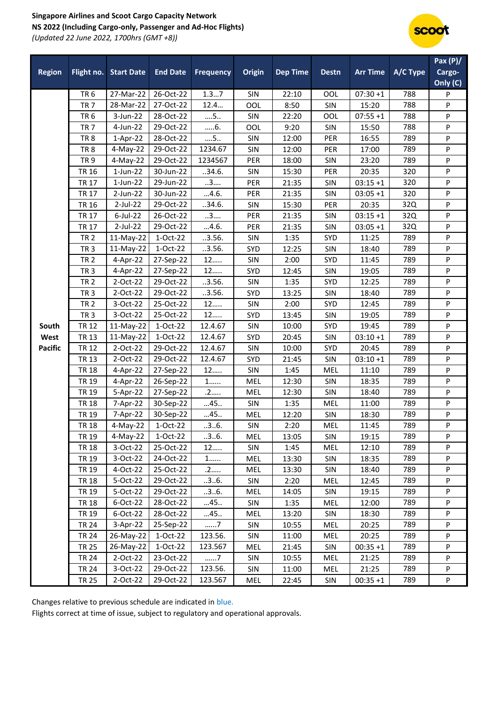## **Singapore Airlines and Scoot Cargo Capacity Network NS 2022 (Including Cargo-only, Passenger and Ad-Hoc Flights)** *(Updated 22 June 2022, 1700hrs (GMT +8))*



| <b>Region</b>  |                 | Flight no. Start Date | <b>End Date</b> | <b>Frequency</b> | Origin     | <b>Dep Time</b> | <b>Destn</b> | <b>Arr Time</b> | A/C Type | Pax(P)/<br>Cargo-<br>Only (C) |
|----------------|-----------------|-----------------------|-----------------|------------------|------------|-----------------|--------------|-----------------|----------|-------------------------------|
|                | TR <sub>6</sub> | $27-Mar-22$           | 26-Oct-22       | 1.37             | SIN        | 22:10           | OOL          | $07:30 + 1$     | 788      | P                             |
|                | <b>TR 7</b>     | 28-Mar-22             | 27-Oct-22       | 12.4             | OOL        | 8:50            | SIN          | 15:20           | 788      | P                             |
|                | TR <sub>6</sub> | 3-Jun-22              | 28-Oct-22       | 5                | SIN        | 22:20           | OOL          | $07:55 + 1$     | 788      | P                             |
|                | <b>TR7</b>      | 4-Jun-22              | 29-Oct-22       | $6$ .            | OOL        | 9:20            | SIN          | 15:50           | 788      | P                             |
|                | TR <sub>8</sub> | 1-Apr-22              | 28-Oct-22       | 5                | SIN        | 12:00           | PER          | 16:55           | 789      | P                             |
|                | TR <sub>8</sub> | 4-May-22              | 29-Oct-22       | 1234.67          | SIN        | 12:00           | PER          | 17:00           | 789      | P                             |
|                | TR <sub>9</sub> | 4-May-22              | 29-Oct-22       | 1234567          | <b>PER</b> | 18:00           | SIN          | 23:20           | 789      | P                             |
|                | <b>TR 16</b>    | 1-Jun-22              | 30-Jun-22       | .34.6.           | SIN        | 15:30           | PER          | 20:35           | 320      | P                             |
|                | <b>TR 17</b>    | $1$ -Jun-22           | 29-Jun-22       | 3                | PER        | 21:35           | SIN          | $03:15+1$       | 320      | P                             |
|                | <b>TR 17</b>    | 2-Jun-22              | 30-Jun-22       | 4.6.             | PER        | 21:35           | SIN          | $03:05 + 1$     | 320      | P                             |
|                | <b>TR 16</b>    | $2$ -Jul-22           | 29-Oct-22       | .34.6.           | SIN        | 15:30           | PER          | 20:35           | 32Q      | P                             |
|                | <b>TR 17</b>    | $6$ -Jul-22           | 26-Oct-22       | 3                | PER        | 21:35           | SIN          | $03:15+1$       | 32Q      | P                             |
|                | <b>TR 17</b>    | $2$ -Jul-22           | 29-Oct-22       | 4.6.             | <b>PER</b> | 21:35           | SIN          | $03:05 + 1$     | 32Q      | P                             |
|                | <b>TR 2</b>     | 11-May-22             | 1-Oct-22        | .3.56.           | SIN        | 1:35            | SYD          | 11:25           | 789      | P                             |
|                | TR <sub>3</sub> | 11-May-22             | 1-Oct-22        | .3.56.           | SYD        | 12:25           | SIN          | 18:40           | 789      | P                             |
|                | <b>TR 2</b>     | 4-Apr-22              | 27-Sep-22       | 12               | SIN        | 2:00            | SYD          | 11:45           | 789      | P                             |
|                | TR <sub>3</sub> | 4-Apr-22              | 27-Sep-22       | 12               | <b>SYD</b> | 12:45           | SIN          | 19:05           | 789      | P                             |
|                | <b>TR 2</b>     | 2-Oct-22              | 29-Oct-22       | .3.56.           | SIN        | 1:35            | SYD          | 12:25           | 789      | P                             |
|                | TR <sub>3</sub> | 2-Oct-22              | 29-Oct-22       | .3.56.           | SYD        | 13:25           | SIN          | 18:40           | 789      | P                             |
|                | <b>TR 2</b>     | 3-Oct-22              | 25-Oct-22       | 12               | SIN        | 2:00            | SYD          | 12:45           | 789      | P                             |
|                | TR <sub>3</sub> | 3-Oct-22              | 25-Oct-22       | 12               | SYD        | 13:45           | SIN          | 19:05           | 789      | P                             |
| South          | <b>TR 12</b>    | 11-May-22             | 1-Oct-22        | 12.4.67          | SIN        | 10:00           | SYD          | 19:45           | 789      | P                             |
| West           | <b>TR 13</b>    | 11-May-22             | $1-Oct-22$      | 12.4.67          | SYD        | 20:45           | SIN          | $03:10+1$       | 789      | P                             |
| <b>Pacific</b> | <b>TR 12</b>    | 2-Oct-22              | 29-Oct-22       | 12.4.67          | SIN        | 10:00           | SYD          | 20:45           | 789      | P                             |
|                | <b>TR13</b>     | 2-Oct-22              | 29-Oct-22       | 12.4.67          | SYD        | 21:45           | SIN          | $03:10+1$       | 789      | P                             |
|                | <b>TR 18</b>    | 4-Apr-22              | 27-Sep-22       | 12               | SIN        | 1:45            | <b>MEL</b>   | 11:10           | 789      | P                             |
|                | <b>TR 19</b>    | 4-Apr-22              | 26-Sep-22       | $1$              | <b>MEL</b> | 12:30           | SIN          | 18:35           | 789      | P                             |
|                | <b>TR 19</b>    | 5-Apr-22              | 27-Sep-22       | .2               | <b>MEL</b> | 12:30           | SIN          | 18:40           | 789      | P                             |
|                | <b>TR 18</b>    | 7-Apr-22              | 30-Sep-22       | 45               | SIN        | 1:35            | <b>MEL</b>   | 11:00           | 789      | P                             |
|                | <b>TR 19</b>    | 7-Apr-22              | 30-Sep-22       | 45               | <b>MEL</b> | 12:20           | SIN          | 18:30           | 789      | P                             |
|                | <b>TR 18</b>    | 4-May-22 1-Oct-22     |                 | .3.6.            | SIN        | 2:20            | MEL          | 11:45           | 789      | P                             |
|                | TR 19           | 4-May-22              | 1-Oct-22        | .3.6.            | MEL        | 13:05           | <b>SIN</b>   | 19:15           | 789      | P                             |
|                | <b>TR 18</b>    | 3-Oct-22              | 25-Oct-22       | 12               | <b>SIN</b> | 1:45            | MEL          | 12:10           | 789      | P                             |
|                | <b>TR 19</b>    | 3-Oct-22              | 24-Oct-22       | 1                | MEL        | 13:30           | SIN          | 18:35           | 789      | P                             |
|                | <b>TR 19</b>    | 4-Oct-22              | 25-Oct-22       | .2               | <b>MEL</b> | 13:30           | SIN          | 18:40           | 789      | P                             |
|                | <b>TR 18</b>    | $5-Oct-22$            | 29-Oct-22       | .3.6.            | SIN        | 2:20            | MEL          | 12:45           | 789      | P                             |
|                | TR 19           | 5-Oct-22              | 29-Oct-22       | .3.6.            | MEL        | 14:05           | SIN          | 19:15           | 789      | P                             |
|                | <b>TR 18</b>    | $6$ -Oct-22           | 28-Oct-22       | 45               | <b>SIN</b> | 1:35            | MEL          | 12:00           | 789      | P                             |
|                | <b>TR 19</b>    | 6-Oct-22              | 28-Oct-22       | 45               | MEL        | 13:20           | <b>SIN</b>   | 18:30           | 789      | P                             |
|                | <b>TR 24</b>    | $3-Apr-22$            | 25-Sep-22       | 7                | <b>SIN</b> | 10:55           | MEL          | 20:25           | 789      | P                             |
|                | <b>TR 24</b>    | 26-May-22             | 1-Oct-22        | 123.56.          | SIN        | 11:00           | MEL          | 20:25           | 789      | P                             |
|                | <b>TR 25</b>    | 26-May-22             | 1-Oct-22        | 123.567          | MEL        | 21:45           | SIN          | $00:35+1$       | 789      | P                             |
|                | <b>TR 24</b>    | 2-Oct-22              | 23-Oct-22       | 7                | <b>SIN</b> | 10:55           | <b>MEL</b>   | 21:25           | 789      | P                             |
|                | <b>TR 24</b>    | 3-Oct-22              | 29-Oct-22       | 123.56.          | SIN        | 11:00           | MEL          | 21:25           | 789      | P                             |
|                | <b>TR 25</b>    | 2-Oct-22              | 29-Oct-22       | 123.567          | MEL        | 22:45           | SIN          | $00:35 + 1$     | 789      | P                             |

Changes relative to previous schedule are indicated in blue.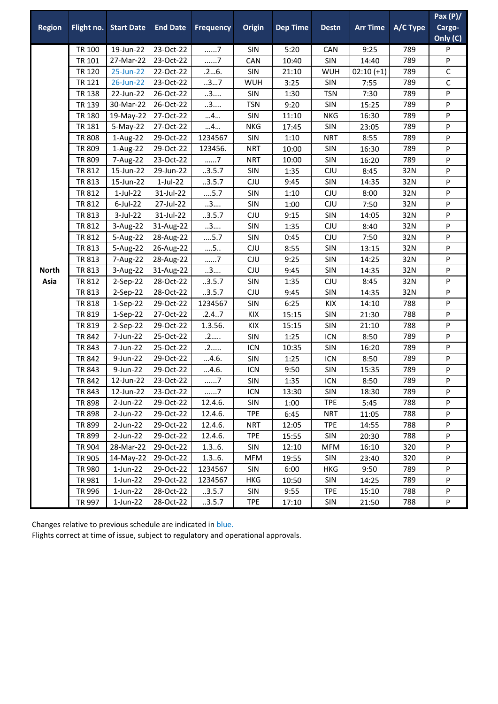| <b>Region</b> | Flight no.    | <b>Start Date</b> | <b>End Date</b> | <b>Frequency</b> | Origin     | <b>Dep Time</b> | <b>Destn</b> | <b>Arr Time</b> | A/C Type | Pax(P)/<br>Cargo- |
|---------------|---------------|-------------------|-----------------|------------------|------------|-----------------|--------------|-----------------|----------|-------------------|
|               |               |                   |                 |                  |            |                 |              |                 |          | Only (C)          |
|               | <b>TR 100</b> | 19-Jun-22         | 23-Oct-22       | . 7              | SIN        | 5:20            | CAN          | 9:25            | 789      | P                 |
|               | TR 101        | 27-Mar-22         | 23-Oct-22       | 7                | CAN        | 10:40           | SIN          | 14:40           | 789      | P                 |
|               | TR 120        | 25-Jun-22         | 22-Oct-22       | .26.             | SIN        | 21:10           | <b>WUH</b>   | $02:10 (+1)$    | 789      | C                 |
|               | <b>TR 121</b> | 26-Jun-22         | 23-Oct-22       | 37               | WUH        | 3:25            | SIN          | 7:55            | 789      | C                 |
|               | <b>TR 138</b> | 22-Jun-22         | 26-Oct-22       | 3                | SIN        | 1:30            | <b>TSN</b>   | 7:30            | 789      | P                 |
|               | TR 139        | 30-Mar-22         | 26-Oct-22       | 3                | <b>TSN</b> | 9:20            | SIN          | 15:25           | 789      | P                 |
|               | <b>TR 180</b> | 19-May-22         | 27-Oct-22       | 4                | SIN        | 11:10           | <b>NKG</b>   | 16:30           | 789      | P                 |
|               | <b>TR 181</b> | $5-May-22$        | 27-Oct-22       | 4                | <b>NKG</b> | 17:45           | SIN          | 23:05           | 789      | P                 |
|               | <b>TR 808</b> | 1-Aug-22          | 29-Oct-22       | 1234567          | SIN        | 1:10            | <b>NRT</b>   | 8:55            | 789      | P                 |
|               | TR 809        | 1-Aug-22          | 29-Oct-22       | 123456.          | <b>NRT</b> | 10:00           | SIN          | 16:30           | 789      | P                 |
|               | TR 809        | 7-Aug-22          | 23-Oct-22       | 7                | <b>NRT</b> | 10:00           | SIN          | 16:20           | 789      | P                 |
|               | <b>TR 812</b> | 15-Jun-22         | 29-Jun-22       | .3.5.7           | SIN        | 1:35            | CJU          | 8:45            | 32N      | P                 |
|               | <b>TR 813</b> | 15-Jun-22         | $1$ -Jul-22     | .3.5.7           | CJU        | 9:45            | SIN          | 14:35           | 32N      | P                 |
|               | TR 812        | $1$ -Jul-22       | 31-Jul-22       | $\dots$ 5.7      | SIN        | 1:10            | CJU          | 8:00            | 32N      | P                 |
|               | TR 812        | $6$ -Jul-22       | 27-Jul-22       | 3                | SIN        | 1:00            | CJU          | 7:50            | 32N      | P                 |
|               | TR 813        | 3-Jul-22          | 31-Jul-22       | .3.5.7           | CJU        | 9:15            | SIN          | 14:05           | 32N      | P                 |
|               | <b>TR 812</b> | 3-Aug-22          | 31-Aug-22       | 3                | SIN        | 1:35            | CJU          | 8:40            | 32N      | P                 |
|               | TR 812        | 5-Aug-22          | 28-Aug-22       | $\dots$ 5.7      | SIN        | 0:45            | CJU          | 7:50            | 32N      | P                 |
|               | TR 813        | 5-Aug-22          | 26-Aug-22       | 5                | CJU        | 8:55            | SIN          | 13:15           | 32N      | P                 |
|               | TR 813        | 7-Aug-22          | 28-Aug-22       | $7$              | CJU        | 9:25            | SIN          | 14:25           | 32N      | P                 |
| <b>North</b>  | TR 813        | 3-Aug-22          | 31-Aug-22       | 3                | CJU        | 9:45            | SIN          | 14:35           | 32N      | P                 |
| Asia          | <b>TR 812</b> | 2-Sep-22          | 28-Oct-22       | .3.5.7           | SIN        | 1:35            | CJU          | 8:45            | 32N      | P                 |
|               | TR 813        | 2-Sep-22          | 28-Oct-22       | .3.5.7           | CJU        | 9:45            | SIN          | 14:35           | 32N      | P                 |
|               | <b>TR 818</b> | $1-Sep-22$        | 29-Oct-22       | 1234567          | SIN        | 6:25            | KIX          | 14:10           | 788      | P                 |
|               | TR 819        | 1-Sep-22          | 27-Oct-22       | .2.4.7           | KIX        | 15:15           | SIN          | 21:30           | 788      | P                 |
|               | TR 819        | 2-Sep-22          | 29-Oct-22       | 1.3.56.          | KIX        | 15:15           | SIN          | 21:10           | 788      | P                 |
|               | <b>TR 842</b> | 7-Jun-22          | 25-Oct-22       | .2               | SIN        | 1:25            | <b>ICN</b>   | 8:50            | 789      | P                 |
|               | TR 843        | 7-Jun-22          | 25-Oct-22       | .2               | <b>ICN</b> | 10:35           | SIN          | 16:20           | 789      | P                 |
|               | <b>TR 842</b> | 9-Jun-22          | 29-Oct-22       | 4.6.             | SIN        | 1:25            | <b>ICN</b>   | 8:50            | 789      | P                 |
|               | TR 843        | 9-Jun-22          | 29-Oct-22       | 4.6.             | ICN        | 9:50            | SIN          | 15:35           | 789      | P                 |
|               | <b>TR 842</b> | 12-Jun-22         | 23-Oct-22       | . 7              | SIN        | 1:35            | ICN          | 8:50            | 789      | P                 |
|               | TR 843        | 12-Jun-22         | 23-Oct-22       | 7                | ICN        | 13:30           | SIN          | 18:30           | 789      | P                 |
|               | TR 898        | $2$ -Jun-22       | 29-Oct-22       | 12.4.6.          | <b>SIN</b> | 1:00            | <b>TPE</b>   | 5:45            | 788      | P                 |
|               | <b>TR 898</b> | $2$ -Jun-22       | 29-Oct-22       | 12.4.6.          | <b>TPE</b> | 6:45            | <b>NRT</b>   | 11:05           | 788      | P                 |
|               | <b>TR 899</b> | $2$ -Jun-22       | 29-Oct-22       | 12.4.6.          | <b>NRT</b> | 12:05           | <b>TPE</b>   | 14:55           | 788      | P                 |
|               | TR 899        | $2$ -Jun-22       | 29-Oct-22       | 12.4.6.          | <b>TPE</b> | 15:55           | <b>SIN</b>   | 20:30           | 788      | P                 |
|               | TR 904        | 28-Mar-22         | 29-Oct-22       | 1.36.            | SIN        | 12:10           | <b>MFM</b>   | 16:10           | 320      | P                 |
|               | TR 905        | 14-May-22         | 29-Oct-22       | 1.36.            | <b>MFM</b> | 19:55           | SIN          | 23:40           | 320      | P                 |
|               | TR 980        | $1$ -Jun-22       | 29-Oct-22       | 1234567          | SIN        | 6:00            | HKG          | 9:50            | 789      | P                 |
|               | TR 981        | $1$ -Jun-22       | 29-Oct-22       | 1234567          | HKG        | 10:50           | <b>SIN</b>   | 14:25           | 789      | P                 |
|               | TR 996        | $1$ -Jun-22       | 28-Oct-22       | .3.5.7           | SIN        | 9:55            | <b>TPE</b>   | 15:10           | 788      | P                 |
|               | TR 997        | $1$ -Jun-22       | 28-Oct-22       | .3.5.7           | <b>TPE</b> | 17:10           | SIN          | 21:50           | 788      | P                 |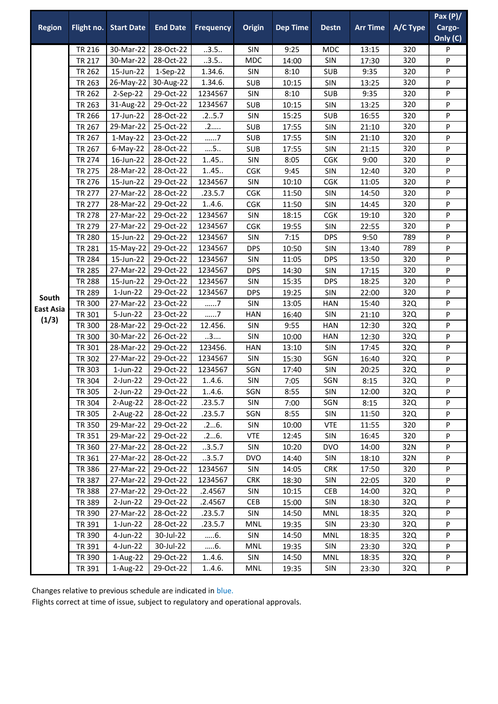|                  |               |                   |                 |                  |            |                 |              |                 |          | Pax $(P)/$ |
|------------------|---------------|-------------------|-----------------|------------------|------------|-----------------|--------------|-----------------|----------|------------|
| <b>Region</b>    | Flight no.    | <b>Start Date</b> | <b>End Date</b> | <b>Frequency</b> | Origin     | <b>Dep Time</b> | <b>Destn</b> | <b>Arr Time</b> | A/C Type | Cargo-     |
|                  |               |                   |                 |                  |            |                 |              |                 |          | Only (C)   |
|                  | TR 216        | 30-Mar-22         | 28-Oct-22       | .3.5.            | SIN        | 9:25            | <b>MDC</b>   | 13:15           | 320      | P          |
|                  | <b>TR 217</b> | 30-Mar-22         | 28-Oct-22       | .3.5.            | <b>MDC</b> | 14:00           | SIN          | 17:30           | 320      | P          |
|                  | TR 262        | 15-Jun-22         | $1-Sep-22$      | 1.34.6.          | SIN        | 8:10            | <b>SUB</b>   | 9:35            | 320      | P          |
|                  | TR 263        | 26-May-22         | 30-Aug-22       | 1.34.6.          | <b>SUB</b> | 10:15           | SIN          | 13:25           | 320      | P          |
|                  | <b>TR 262</b> | 2-Sep-22          | 29-Oct-22       | 1234567          | SIN        | 8:10            | <b>SUB</b>   | 9:35            | 320      | P          |
|                  | TR 263        | 31-Aug-22         | 29-Oct-22       | 1234567          | <b>SUB</b> | 10:15           | SIN          | 13:25           | 320      | P          |
|                  | TR 266        | 17-Jun-22         | 28-Oct-22       | .25.7            | SIN        | 15:25           | <b>SUB</b>   | 16:55           | 320      | P          |
|                  | <b>TR 267</b> | 29-Mar-22         | 25-Oct-22       | .2               | <b>SUB</b> | 17:55           | SIN          | 21:10           | 320      | P          |
|                  | TR 267        | $1-May-22$        | 23-Oct-22       | 7                | <b>SUB</b> | 17:55           | SIN          | 21:10           | 320      | P          |
|                  | TR 267        | $6$ -May-22       | 28-Oct-22       | $\dots$ 5        | <b>SUB</b> | 17:55           | SIN          | 21:15           | 320      | P          |
|                  | <b>TR 274</b> | 16-Jun-22         | 28-Oct-22       | 1.45.            | SIN        | 8:05            | CGK          | 9:00            | 320      | P          |
|                  | <b>TR 275</b> | 28-Mar-22         | 28-Oct-22       | 1.45.            | <b>CGK</b> | 9:45            | SIN          | 12:40           | 320      | P          |
|                  | <b>TR 276</b> | 15-Jun-22         | 29-Oct-22       | 1234567          | SIN        | 10:10           | <b>CGK</b>   | 11:05           | 320      | P          |
|                  | <b>TR 277</b> | 27-Mar-22         | 28-Oct-22       | .23.5.7          | <b>CGK</b> | 11:50           | SIN          | 14:50           | 320      | P          |
|                  | <b>TR 277</b> | 28-Mar-22         | 29-Oct-22       | 1.4.6.           | CGK        | 11:50           | SIN          | 14:45           | 320      | P          |
|                  | <b>TR 278</b> | 27-Mar-22         | 29-Oct-22       | 1234567          | SIN        | 18:15           | CGK          | 19:10           | 320      | P          |
|                  | TR 279        | 27-Mar-22         | 29-Oct-22       | 1234567          | CGK        | 19:55           | SIN          | 22:55           | 320      | P          |
|                  | <b>TR 280</b> | 15-Jun-22         | 29-Oct-22       | 1234567          | SIN        | 7:15            | <b>DPS</b>   | 9:50            | 789      | P          |
|                  | <b>TR 281</b> | 15-May-22         | 29-Oct-22       | 1234567          | <b>DPS</b> | 10:50           | SIN          | 13:40           | 789      | P          |
|                  | <b>TR 284</b> | 15-Jun-22         | 29-Oct-22       | 1234567          | SIN        | 11:05           | <b>DPS</b>   | 13:50           | 320      | P          |
|                  | <b>TR 285</b> | 27-Mar-22         | 29-Oct-22       | 1234567          | <b>DPS</b> | 14:30           | SIN          | 17:15           | 320      | P          |
|                  | <b>TR 288</b> | 15-Jun-22         | 29-Oct-22       | 1234567          | SIN        | 15:35           | <b>DPS</b>   | 18:25           | 320      | P          |
| South            | <b>TR 289</b> | $1$ -Jun-22       | 29-Oct-22       | 1234567          | <b>DPS</b> | 19:25           | SIN          | 22:00           | 320      | P          |
| <b>East Asia</b> | <b>TR 300</b> | 27-Mar-22         | 23-Oct-22       | 7                | SIN        | 13:05           | <b>HAN</b>   | 15:40           | 32Q      | P          |
| (1/3)            | TR 301        | 5-Jun-22          | 23-Oct-22       | $7$              | <b>HAN</b> | 16:40           | SIN          | 21:10           | 32Q      | P          |
|                  | <b>TR 300</b> | 28-Mar-22         | 29-Oct-22       | 12.456.          | SIN        | 9:55            | <b>HAN</b>   | 12:30           | 32Q      | P          |
|                  | <b>TR 300</b> | 30-Mar-22         | 26-Oct-22       | 3                | SIN        | 10:00           | <b>HAN</b>   | 12:30           | 32Q      | P          |
|                  | TR 301        | 28-Mar-22         | 29-Oct-22       | 123456.          | <b>HAN</b> | 13:10           | SIN          | 17:45           | 32Q      | P          |
|                  | TR 302        | 27-Mar-22         | 29-Oct-22       | 1234567          | SIN        | 15:30           | SGN          | 16:40           | 32Q      | P          |
|                  | TR 303        | $1$ -Jun-22       | 29-Oct-22       | 1234567          | SGN        | 17:40           | SIN          | 20:25           | 32Q      | P          |
|                  | TR 304        | $2$ -Jun-22       | 29-Oct-22       | 1.4.6.           | SIN        | 7:05            | SGN          | 8:15            | 32Q      | P          |
|                  | TR 305        | $2$ -Jun-22       | 29-Oct-22       | 1.4.6.           | SGN        | 8:55            | SIN          | 12:00           | 32Q      | P          |
|                  | TR 304        | 2-Aug-22          | 28-Oct-22       | .23.5.7          | SIN        | 7:00            | SGN          | 8:15            | 32Q      | P          |
|                  | TR 305        | 2-Aug-22          | 28-Oct-22       | .23.5.7          | SGN        | 8:55            | <b>SIN</b>   | 11:50           | 32Q      | P          |
|                  | TR 350        | 29-Mar-22         | 29-Oct-22       | .26.             | SIN        | 10:00           | <b>VTE</b>   | 11:55           | 320      | P          |
|                  | TR 351        | 29-Mar-22         | 29-Oct-22       | .26.             | <b>VTE</b> | 12:45           | SIN          | 16:45           | 320      | P          |
|                  | TR 360        | 27-Mar-22         | 28-Oct-22       | .3.5.7           | SIN        | 10:20           | <b>DVO</b>   | 14:00           | 32N      | P          |
|                  | TR 361        | 27-Mar-22         | 28-Oct-22       | .3.5.7           | <b>DVO</b> | 14:40           | SIN          | 18:10           | 32N      | P          |
|                  | TR 386        | 27-Mar-22         | 29-Oct-22       | 1234567          | <b>SIN</b> | 14:05           | <b>CRK</b>   | 17:50           | 320      | P          |
|                  | TR 387        | 27-Mar-22         | 29-Oct-22       | 1234567          | <b>CRK</b> | 18:30           | SIN          | 22:05           | 320      | P          |
|                  | TR 388        | 27-Mar-22         | 29-Oct-22       | .2.4567          | <b>SIN</b> | 10:15           | <b>CEB</b>   | 14:00           | 32Q      | P          |
|                  | TR 389        | $2$ -Jun-22       | 29-Oct-22       | .2.4567          | <b>CEB</b> | 15:00           | SIN          | 18:30           | 32Q      | P          |
|                  | TR 390        | 27-Mar-22         | 28-Oct-22       | .23.5.7          | <b>SIN</b> | 14:50           | <b>MNL</b>   | 18:35           | 32Q      | P          |
|                  | TR 391        | $1$ -Jun-22       | 28-Oct-22       | .23.5.7          | MNL        | 19:35           | SIN          | 23:30           | 32Q      | P          |
|                  | TR 390        | 4-Jun-22          | 30-Jul-22       | 6.               | SIN        | 14:50           | MNL          | 18:35           | 32Q      | P          |
|                  | TR 391        | 4-Jun-22          | 30-Jul-22       | 6.               | MNL        | 19:35           | <b>SIN</b>   | 23:30           | 32Q      | P          |
|                  | TR 390        | 1-Aug-22          | 29-Oct-22       | 1.4.6.           | SIN        | 14:50           | MNL          | 18:35           | 32Q      | P          |
|                  | TR 391        | 1-Aug-22          | 29-Oct-22       | 1.4.6.           | <b>MNL</b> | 19:35           | SIN          | 23:30           | 32Q      | P          |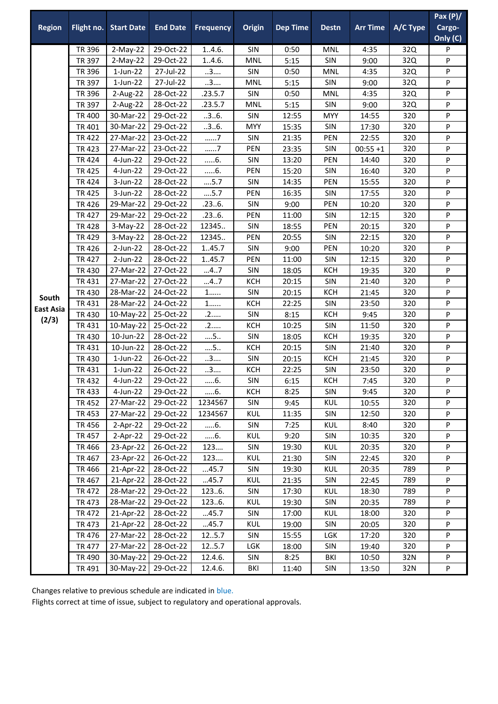|                  |                        |                        |                        |                  |                   |                 |              |                 |            | Pax $(P)/$ |
|------------------|------------------------|------------------------|------------------------|------------------|-------------------|-----------------|--------------|-----------------|------------|------------|
| <b>Region</b>    | Flight no.             | <b>Start Date</b>      | <b>End Date</b>        | <b>Frequency</b> | Origin            | <b>Dep Time</b> | <b>Destn</b> | <b>Arr Time</b> | A/C Type   | Cargo-     |
|                  |                        |                        |                        |                  |                   |                 |              |                 |            | Only (C)   |
|                  | TR 396                 | $2-May-22$             | 29-Oct-22              | 1.4.6.           | SIN               | 0:50            | MNL          | 4:35            | 32Q        | P          |
|                  | TR 397                 | $2-May-22$             | 29-Oct-22              | 1.4.6.           | <b>MNL</b>        | 5:15            | SIN          | 9:00            | 32Q        | P          |
|                  | TR 396                 | $1$ -Jun-22            | 27-Jul-22              | 3                | SIN               | 0:50            | MNL          | 4:35            | 32Q        | P          |
|                  | TR 397                 | $1$ -Jun-22            | 27-Jul-22              | 3                | MNL               | 5:15            | SIN          | 9:00            | 32Q        | P          |
|                  | TR 396                 | 2-Aug-22               | 28-Oct-22              | .23.5.7          | SIN               | 0:50            | <b>MNL</b>   | 4:35            | 32Q        | P          |
|                  | TR 397                 | 2-Aug-22               | 28-Oct-22              | .23.5.7          | <b>MNL</b>        | 5:15            | SIN          | 9:00            | 32Q        | P          |
|                  | <b>TR 400</b>          | 30-Mar-22              | 29-Oct-22              | .3.6.            | SIN               | 12:55           | <b>MYY</b>   | 14:55           | 320        | P          |
|                  | TR 401                 | 30-Mar-22              | 29-Oct-22              | .3.6.            | <b>MYY</b>        | 15:35           | SIN          | 17:30           | 320        | P          |
|                  | <b>TR422</b>           | 27-Mar-22              | 23-Oct-22              | 7                | SIN               | 21:35           | PEN          | 22:55           | 320        | P          |
|                  | <b>TR423</b>           | 27-Mar-22              | 23-Oct-22              | 7                | PEN               | 23:35           | SIN          | $00:55 + 1$     | 320        | P          |
|                  | <b>TR424</b>           | 4-Jun-22               | 29-Oct-22              | $6$ .            | SIN               | 13:20           | PEN          | 14:40           | 320        | P          |
|                  | <b>TR425</b>           | 4-Jun-22               | 29-Oct-22              | 6.               | PEN               | 15:20           | SIN          | 16:40           | 320        | P          |
|                  | <b>TR424</b>           | 3-Jun-22               | 28-Oct-22              | $\dots$ 5.7      | SIN               | 14:35           | PEN          | 15:55           | 320        | P          |
|                  | <b>TR425</b>           | 3-Jun-22               | 28-Oct-22              | 5.7              | PEN               | 16:35           | SIN          | 17:55           | 320        | P          |
|                  | <b>TR426</b>           | 29-Mar-22              | 29-Oct-22              | .236.            | SIN               | 9:00            | PEN          | 10:20           | 320        | P          |
|                  | <b>TR427</b>           | 29-Mar-22              | 29-Oct-22              | .236.            | PEN               | 11:00           | SIN          | 12:15           | 320        | P          |
|                  | <b>TR428</b>           | $3-May-22$             | 28-Oct-22              | 12345            | SIN               | 18:55           | PEN          | 20:15           | 320        | P          |
|                  | <b>TR429</b>           | $3-May-22$             | 28-Oct-22              | 12345            | PEN               | 20:55           | SIN          | 22:15           | 320        | P          |
|                  | <b>TR426</b>           | 2-Jun-22               | 28-Oct-22              | 1.45.7           | SIN               | 9:00            | PEN          | 10:20           | 320        | P          |
|                  | <b>TR427</b>           | 2-Jun-22               | 28-Oct-22              | 1.45.7           | PEN               | 11:00           | SIN          | 12:15           | 320        | P          |
|                  | <b>TR430</b>           | 27-Mar-22              | 27-Oct-22              | 47               | SIN               | 18:05           | KCH          | 19:35           | 320        | P          |
|                  | TR 431                 | 27-Mar-22              | 27-Oct-22              | 47               | <b>KCH</b>        | 20:15           | SIN          | 21:40           | 320        | P          |
| South            | <b>TR430</b>           | 28-Mar-22              | 24-Oct-22              | $1$              | SIN               | 20:15           | <b>KCH</b>   | 21:45           | 320        | P          |
| <b>East Asia</b> | <b>TR431</b>           | 28-Mar-22              | 24-Oct-22<br>25-Oct-22 | $1$<br>.2        | <b>KCH</b><br>SIN | 22:25<br>8:15   | SIN<br>KCH   | 23:50<br>9:45   | 320<br>320 | P          |
| (2/3)            | TR 430                 | 10-May-22              |                        |                  | KCH               | 10:25           | SIN          |                 |            | P          |
|                  | TR 431<br><b>TR430</b> | 10-May-22<br>10-Jun-22 | 25-Oct-22              | .2               | SIN               |                 | <b>KCH</b>   | 11:50           | 320        | P<br>P     |
|                  | TR 431                 | 10-Jun-22              | 28-Oct-22<br>28-Oct-22 | 5<br>$\dots$ 5   | KCH               | 18:05           | SIN          | 19:35           | 320<br>320 |            |
|                  | <b>TR430</b>           | $1$ -Jun-22            | 26-Oct-22              | 3                | SIN               | 20:15<br>20:15  | <b>KCH</b>   | 21:40           | 320        | P<br>P     |
|                  | TR 431                 | $1$ -Jun-22            | 26-Oct-22              | 3                | <b>KCH</b>        | 22:25           | SIN          | 21:45<br>23:50  | 320        | P          |
|                  | TR 432                 | 4-Jun-22               | 29-Oct-22              | $6$ .            | SIN               | 6:15            | KCH          | 7:45            | 320        | P          |
|                  | TR 433                 | 4-Jun-22               | 29-Oct-22              | 6.               | <b>KCH</b>        | 8:25            | SIN          | 9:45            | 320        | P          |
|                  | <b>TR452</b>           | 27-Mar-22              | 29-Oct-22              | 1234567          | SIN               | 9:45            | <b>KUL</b>   | 10:55           | 320        | P          |
|                  | TR 453                 | 27-Mar-22              | 29-Oct-22              | 1234567          | KUL               | 11:35           | <b>SIN</b>   | 12:50           | 320        | P          |
|                  | TR 456                 | $2-Apr-22$             | 29-Oct-22              | 6.               | SIN               | 7:25            | <b>KUL</b>   | 8:40            | 320        | P          |
|                  | TR 457                 | $2-Apr-22$             | 29-Oct-22              | 6.               | KUL               | 9:20            | SIN          | 10:35           | 320        | P          |
|                  | TR 466                 | 23-Apr-22              | 26-Oct-22              | 123              | SIN               | 19:30           | <b>KUL</b>   | 20:35           | 320        | P          |
|                  | TR 467                 | 23-Apr-22              | 26-Oct-22              | 123              | KUL               | 21:30           | SIN          | 22:45           | 320        | P          |
|                  | TR 466                 | 21-Apr-22              | 28-Oct-22              | 45.7             | <b>SIN</b>        | 19:30           | KUL          | 20:35           | 789        | P          |
|                  | TR 467                 | 21-Apr-22              | 28-Oct-22              | 45.7             | <b>KUL</b>        | 21:35           | SIN          | 22:45           | 789        | P          |
|                  | TR 472                 | 28-Mar-22              | 29-Oct-22              | 1236.            | <b>SIN</b>        | 17:30           | KUL          | 18:30           | 789        | P          |
|                  | TR 473                 | 28-Mar-22              | 29-Oct-22              | 1236.            | <b>KUL</b>        | 19:30           | SIN          | 20:35           | 789        | P          |
|                  | <b>TR472</b>           | 21-Apr-22              | 28-Oct-22              | 45.7             | <b>SIN</b>        | 17:00           | <b>KUL</b>   | 18:00           | 320        | P          |
|                  | TR 473                 | 21-Apr-22              | 28-Oct-22              | 45.7             | KUL               | 19:00           | <b>SIN</b>   | 20:05           | 320        | P          |
|                  | TR 476                 | 27-Mar-22              | 28-Oct-22              | 125.7            | SIN               | 15:55           | LGK          | 17:20           | 320        | P          |
|                  | TR 477                 | 27-Mar-22              | 28-Oct-22              | 12.5.7           | LGK               | 18:00           | SIN          | 19:40           | 320        | P          |
|                  | TR 490                 | 30-May-22              | 29-Oct-22              | 12.4.6.          | SIN               | 8:25            | BKI          | 10:50           | 32N        | P          |
|                  | TR 491                 | 30-May-22              | 29-Oct-22              | 12.4.6.          | BKI               | 11:40           | SIN          | 13:50           | 32N        | P          |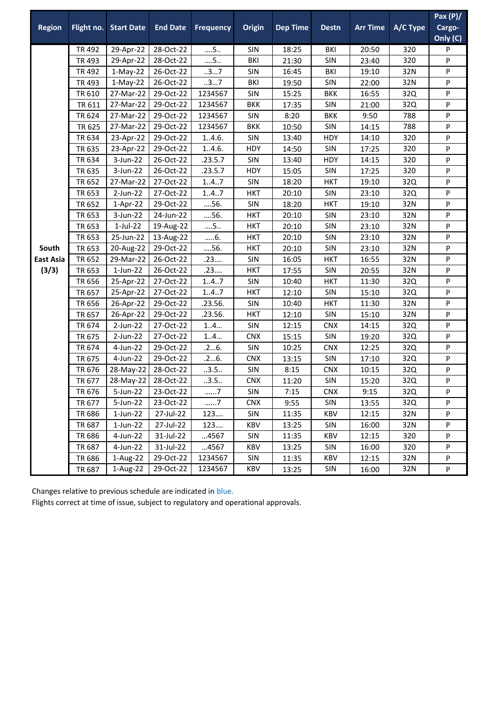| <b>Region</b>               |        | Flight no. Start Date | <b>End Date</b> | <b>Frequency</b> | Origin     | <b>Dep Time</b> | <b>Destn</b> | <b>Arr Time</b> | A/C Type | Pax $(P)/$<br>Cargo-<br>Only (C) |
|-----------------------------|--------|-----------------------|-----------------|------------------|------------|-----------------|--------------|-----------------|----------|----------------------------------|
|                             | TR 492 | 29-Apr-22             | 28-Oct-22       | $\dots$ 5        | SIN        | 18:25           | BKI          | 20:50           | 320      | P                                |
|                             | TR 493 | 29-Apr-22             | 28-Oct-22       | $\dots$ 5.       | BKI        | 21:30           | SIN          | 23:40           | 320      | P                                |
| South<br>East Asia<br>(3/3) | TR 492 | $1-May-22$            | 26-Oct-22       | 37               | SIN        | 16:45           | BKI          | 19:10           | 32N      | P                                |
|                             | TR 493 | $1-May-22$            | 26-Oct-22       | 37               | <b>BKI</b> | 19:50           | SIN          | 22:00           | 32N      | P                                |
|                             | TR 610 | 27-Mar-22             | 29-Oct-22       | 1234567          | <b>SIN</b> | 15:25           | <b>BKK</b>   | 16:55           | 32Q      | P                                |
|                             | TR 611 | 27-Mar-22             | 29-Oct-22       | 1234567          | <b>BKK</b> | 17:35           | SIN          | 21:00           | 32Q      | P                                |
|                             | TR 624 | 27-Mar-22             | 29-Oct-22       | 1234567          | SIN        | 8:20            | <b>BKK</b>   | 9:50            | 788      | P                                |
|                             | TR 625 | 27-Mar-22             | 29-Oct-22       | 1234567          | <b>BKK</b> | 10:50           | SIN          | 14:15           | 788      | P                                |
|                             | TR 634 | 23-Apr-22             | 29-Oct-22       | 1.4.6.           | SIN        | 13:40           | <b>HDY</b>   | 14:10           | 320      | P                                |
|                             | TR 635 | 23-Apr-22             | 29-Oct-22       | 1.4.6.           | HDY        | 14:50           | SIN          | 17:25           | 320      | P                                |
|                             | TR 634 | 3-Jun-22              | 26-Oct-22       | .23.5.7          | SIN        | 13:40           | <b>HDY</b>   | 14:15           | 320      | P                                |
|                             | TR 635 | 3-Jun-22              | 26-Oct-22       | .23.5.7          | <b>HDY</b> | 15:05           | SIN          | 17:25           | 320      | P                                |
|                             | TR 652 | 27-Mar-22             | 27-Oct-22       | 147              | SIN        | 18:20           | <b>HKT</b>   | 19:10           | 32Q      | P                                |
|                             | TR 653 | 2-Jun-22              | 27-Oct-22       | 147              | <b>HKT</b> | 20:10           | SIN          | 23:10           | 32Q      | P                                |
|                             | TR 652 | 1-Apr-22              | 29-Oct-22       | 56.              | SIN        | 18:20           | <b>HKT</b>   | 19:10           | 32N      | P                                |
|                             | TR 653 | 3-Jun-22              | 24-Jun-22       | 56.              | <b>HKT</b> | 20:10           | SIN          | 23:10           | 32N      | P                                |
|                             | TR 653 | $1$ -Jul-22           | 19-Aug-22       | $\dots$ 5        | <b>HKT</b> | 20:10           | SIN          | 23:10           | 32N      | P                                |
|                             | TR 653 | 25-Jun-22             | 13-Aug-22       | 6.               | <b>HKT</b> | 20:10           | SIN          | 23:10           | 32N      | P                                |
|                             | TR 653 | 20-Aug-22             | 29-Oct-22       | 56.              | <b>HKT</b> | 20:10           | <b>SIN</b>   | 23:10           | 32N      | P                                |
|                             | TR 652 | 29-Mar-22             | 26-Oct-22       | .23              | SIN        | 16:05           | <b>HKT</b>   | 16:55           | 32N      | P                                |
|                             | TR 653 | $1$ -Jun-22           | 26-Oct-22       | .23              | <b>HKT</b> | 17:55           | SIN          | 20:55           | 32N      | P                                |
|                             | TR 656 | 25-Apr-22             | 27-Oct-22       | 1.4.7            | SIN        | 10:40           | <b>HKT</b>   | 11:30           | 32Q      | P                                |
|                             | TR 657 | 25-Apr-22             | 27-Oct-22       | 147              | <b>HKT</b> | 12:10           | SIN          | 15:10           | 32Q      | P                                |
|                             | TR 656 | 26-Apr-22             | 29-Oct-22       | .23.56.          | SIN        | 10:40           | <b>HKT</b>   | 11:30           | 32N      | P                                |
|                             | TR 657 | 26-Apr-22             | 29-Oct-22       | .23.56.          | HKT        | 12:10           | SIN          | 15:10           | 32N      | P                                |
|                             | TR 674 | 2-Jun-22              | 27-Oct-22       | 14               | SIN        | 12:15           | <b>CNX</b>   | 14:15           | 32Q      | P                                |
|                             | TR 675 | 2-Jun-22              | 27-Oct-22       | 14               | <b>CNX</b> | 15:15           | SIN          | 19:20           | 32Q      | P                                |
|                             | TR 674 | 4-Jun-22              | 29-Oct-22       | .26.             | SIN        | 10:25           | <b>CNX</b>   | 12:25           | 32Q      | P                                |
|                             | TR 675 | 4-Jun-22              | 29-Oct-22       | .26.             | <b>CNX</b> | 13:15           | SIN          | 17:10           | 32Q      | P                                |
|                             | TR 676 | 28-May-22             | 28-Oct-22       | .3.5.            | <b>SIN</b> | 8:15            | <b>CNX</b>   | 10:15           | 32Q      | P                                |
|                             | TR 677 | 28-May-22 28-Oct-22   |                 | .3.5.            | <b>CNX</b> | 11:20           | SIN          | 15:20           | 32Q      | P                                |
|                             | TR 676 | 5-Jun-22              | 23-Oct-22       | 7                | <b>SIN</b> | 7:15            | <b>CNX</b>   | 9:15            | 32Q      | P                                |
|                             | TR 677 | 5-Jun-22              | 23-Oct-22       | 7                | <b>CNX</b> | 9:55            | <b>SIN</b>   | 13:55           | 32Q      | P                                |
|                             | TR 686 | $1$ -Jun-22           | 27-Jul-22       | 123              | SIN        | 11:35           | KBV          | 12:15           | 32N      | P                                |
|                             | TR 687 | $1$ -Jun-22           | 27-Jul-22       | 123              | KBV        | 13:25           | <b>SIN</b>   | 16:00           | 32N      | P                                |
|                             | TR 686 | 4-Jun-22              | 31-Jul-22       | 4567             | SIN        | 11:35           | KBV          | 12:15           | 320      | P                                |
|                             | TR 687 | 4-Jun-22              | 31-Jul-22       | 4567             | KBV        | 13:25           | <b>SIN</b>   | 16:00           | 320      | P                                |
|                             | TR 686 | 1-Aug-22              | 29-Oct-22       | 1234567          | SIN        | 11:35           | KBV          | 12:15           | 32N      | P                                |
|                             | TR 687 | 1-Aug-22              | 29-Oct-22       | 1234567          | KBV        | 13:25           | SIN          | 16:00           | 32N      | P                                |